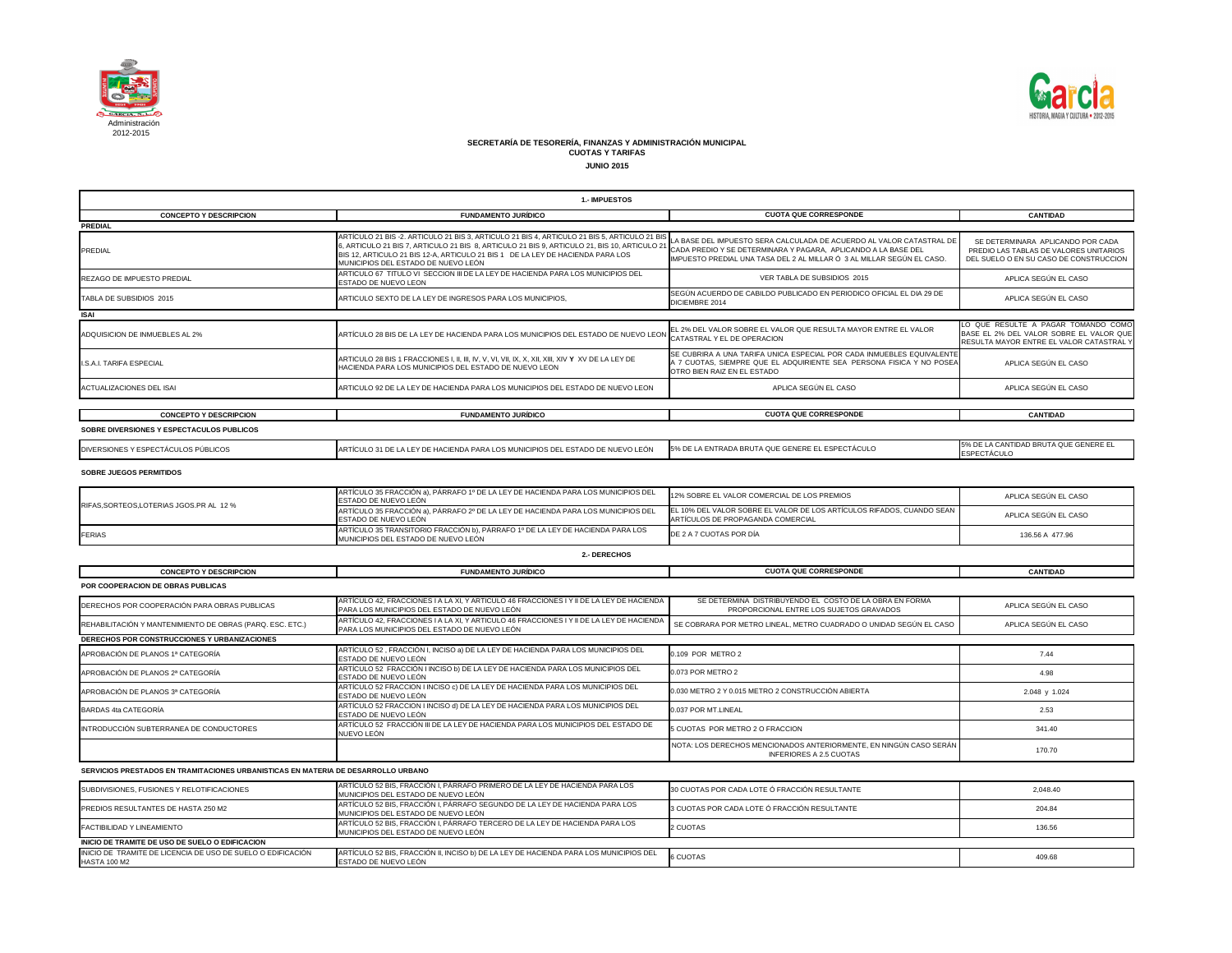

| GENERE EL ESPECTÁCULO | <b>15% DE LA CANTIDAD BRUTA QUE GENERE EL</b><br><b>IESPECTÁCULO</b> |
|-----------------------|----------------------------------------------------------------------|
|                       |                                                                      |

| <b>CUOTA QUE CORRESPONDE</b>                                                                                                                                                                                     | <b>CANTIDAD</b>                                                                                                            |
|------------------------------------------------------------------------------------------------------------------------------------------------------------------------------------------------------------------|----------------------------------------------------------------------------------------------------------------------------|
|                                                                                                                                                                                                                  |                                                                                                                            |
| LA BASE DEL IMPUESTO SERA CALCULADA DE ACUERDO AL VALOR CATASTRAL DE<br>CADA PREDIO Y SE DETERMINARA Y PAGARA, APLICANDO A LA BASE DEL<br>IMPUESTO PREDIAL UNA TASA DEL 2 AL MILLAR Ó 3 AL MILLAR SEGÚN EL CASO. | SE DETERMINARA APLICANDO POR CADA<br>PREDIO LAS TABLAS DE VALORES UNITARIOS<br>DEL SUELO O EN SU CASO DE CONSTRUCCION      |
| VER TABLA DE SUBSIDIOS 2015                                                                                                                                                                                      | APLICA SEGÚN EL CASO                                                                                                       |
| SEGÚN ACUERDO DE CABILDO PUBLICADO EN PERIODICO OFICIAL EL DIA 29 DE<br>DICIEMBRE 2014                                                                                                                           | APLICA SEGÚN EL CASO                                                                                                       |
|                                                                                                                                                                                                                  |                                                                                                                            |
| EL 2% DEL VALOR SOBRE EL VALOR QUE RESULTA MAYOR ENTRE EL VALOR<br>CATASTRAL Y EL DE OPERACION                                                                                                                   | LO QUE RESULTE A PAGAR TOMANDO COMO<br>BASE EL 2% DEL VALOR SOBRE EL VALOR QUE<br>RESULTA MAYOR ENTRE EL VALOR CATASTRAL Y |
| SE CUBRIRA A UNA TARIFA UNICA ESPECIAL POR CADA INMUEBLES EQUIVALENTE<br>A 7 CUOTAS, SIEMPRE QUE EL ADQUIRIENTE SEA PERSONA FISICA Y NO POSEA<br>OTRO BIEN RAIZ EN EL ESTADO                                     | APLICA SEGÚN EL CASO                                                                                                       |
| APLICA SEGÚN EL CASO                                                                                                                                                                                             | APLICA SEGÚN EL CASO                                                                                                       |
|                                                                                                                                                                                                                  |                                                                                                                            |
| <b>CUOTA QUE CORRESPONDE</b>                                                                                                                                                                                     | <b>CANTIDAD</b>                                                                                                            |
|                                                                                                                                                                                                                  |                                                                                                                            |

**CONCEPTO Y DESCRIPCION FUNDAMENTO JURÍDICO** PREDIAL ARTÍCULO 21 BIS -2. ARTICULO 21 BIS 3, ARTICULO 21 BIS 4, ARTICULO 21 BIS 5, ARTICULO 21 BIS ARTICULO 21 BIS 7, ARTICULO 21 BIS 8, ARTICULO 21 BIS 9, ARTICULO 21, BIS 10, ARTICULO 21 DIO 21 DA BASE DEL IMPUESTO SERA CALCULADA DE ACUERDO AL VALOR CATASTRAL DE<br>6, ARTICULO 21 BIS 7, ARTICULO 21 BIS 8, ARTICULO 21 BIS BIS 12, ARTICULO 21 BIS 12-A, ARTICULO 21 BIS 1 DE LA LEY DE HACIENDA PARA LOS MUNICIPIOS DEL ESTADO DE NUEVO LEÓN REZAGO DE IMPUESTO PREDIAL **ARTICULO 67 TITULO VI SECCION III DE LA LEY DE HACIENDA PARA LOS MUNICIPIOS DEL** ESTADO DE NUEVO LEON TABLA DE SUBSIDIOS 2015  $\blacksquare$  ARTICULO SEXTO DE LA LEY DE INGRESOS PARA LOS MUNICIPIOS, ADQUISICION DE INMUEBLES AL 2% **ARTÍCULO 28 BIS DE LA LEY DE HACIENDA PARA LOS MUNICIPIOS DEL ESTADO DE NUEVO LEON** I.S.A.I. TARIFA ESPECIAL ARTICULO 28 BIS 1 FRACCIONES I, II, III, IV, V, VI, VII, IX, X, XII, XIII, XIV **Y** XV DE LA LEY DE HACIENDA PARA LOS MUNICIPIOS DEL ESTADO DE NUEVO LEON ACTUALIZACIONES DEL ISAI ARTICULO 92 DE LA LEY DE HACIENDA PARA LOS MUNICIPIOS DEL ESTADO DE NUEVO LEON **CONCEPTO Y DESCRIPCION FUNDAMENTO JURÍDICO** DIVERSIONES Y ESPECTÁCULOS PÚBLICOS ARTÍCULO 31 DE LA LEY DE HACIENDA PARA LOS MUNICIPIOS DEL ESTADO DE NUEVO LEÓN ARTÍCULO 35 FRACCIÓN a), PÁRRAFO 1º DE LA LEY DE HACIENDA PARA LOS MUNICIPIOS DEL ESTADO DE NUEVO LEÓN ARTÍCULO 35 FRACCIÓN a), PÁRRAFO 2º DE LA LEY DE HACIENDA PARA LOS MUNICIPIOS DEL ESTADO DE NUEVO LEÓN ARTÍCULO 35 TRANSITORIO FRACCIÓN b), PÁRRAFO 1º DE LA LEY DE HACIENDA PARA LOS MUNICIPIOS DEL ESTADO DE NUEVO LEÓN **ISAI** CATASTRAL Y EL DE OPERACION **CUOTA PREDIAL** IMPUESTO PREDIAL UNA TASA DEL SE CUBRIRA A UNA TARIFA UNICA A 7 CUOTAS, SIEMPRE QUE EL AD OTRO BIEN RAIZ EN EL ESTADO APLI **VER TAB** SEGÚN ACUERDO DE CABILDO PUI DICIEMBRE 2014 **CUOTA SOBRE DIVERSIONES Y ESPECTACULOS PUBLICOS** 5% DE LA ENTRADA BRUTA QUE G **SOBRE JUEGOS PERMITIDOS** RIFAS,SORTEOS,LOTERIAS JGOS.PR AL 12 % DE 2 A 7 CUOTAS POR DÍA **2.- DERECHOS** 12% SOBRE EL VALOR COMERCIAL ARTÍCULOS DE PROPAGANDA COMERCIAL

| 12% SOBRE EL VALOR COMERCIAL DE LOS PREMIOS                                                                | APLICA SEGÚN EL CASO |
|------------------------------------------------------------------------------------------------------------|----------------------|
| EL 10% DEL VALOR SOBRE EL VALOR DE LOS ARTÍCULOS RIFADOS, CUANDO SEAN<br>ARTÍCULOS DE PROPAGANDA COMERCIAL | APLICA SEGÚN EL CASO |
| DE 2 A 7 CUOTAS POR DÍA                                                                                    | 136.56 A 477.96      |
|                                                                                                            |                      |
|                                                                                                            |                      |

| <b>CONCEPTO Y DESCRIPCION</b>                                                      | <b>FUNDAMENTO JURÍDICO</b>                                                                                                               | <b>CUOTA QUE CORRESPONDE</b>                                                                         | <b>CANTIDAD</b>      |  |
|------------------------------------------------------------------------------------|------------------------------------------------------------------------------------------------------------------------------------------|------------------------------------------------------------------------------------------------------|----------------------|--|
| POR COOPERACION DE OBRAS PUBLICAS                                                  |                                                                                                                                          |                                                                                                      |                      |  |
| DERECHOS POR COOPERACIÓN PARA OBRAS PUBLICAS                                       | ARTÍCULO 42, FRACCIONES I A LA XI, Y ARTICULO 46 FRACCIONES I Y II DE LA LEY DE HACIENDA<br>PARA LOS MUNICIPIOS DEL ESTADO DE NUEVO LEÓN | SE DETERMINA DISTRIBUYENDO EL COSTO DE LA OBRA EN FORMA<br>PROPORCIONAL ENTRE LOS SUJETOS GRAVADOS   | APLICA SEGÚN EL CASO |  |
| REHABILITACIÓN Y MANTENIMIENTO DE OBRAS (PARQ. ESC. ETC.)                          | ARTÍCULO 42, FRACCIONES I A LA XI, Y ARTICULO 46 FRACCIONES I Y II DE LA LEY DE HACIENDA<br>PARA LOS MUNICIPIOS DEL ESTADO DE NUEVO LEÓN | SE COBRARA POR METRO LINEAL, METRO CUADRADO O UNIDAD SEGÚN EL CASO                                   | APLICA SEGÚN EL CASO |  |
| DERECHOS POR CONSTRUCCIONES Y URBANIZACIONES                                       |                                                                                                                                          |                                                                                                      |                      |  |
| APROBACIÓN DE PLANOS 1ª CATEGORÍA                                                  | ARTÍCULO 52, FRACCIÓN I, INCISO a) DE LA LEY DE HACIENDA PARA LOS MUNICIPIOS DEL<br>ESTADO DE NUEVO LEÓN                                 | 0.109 POR METRO 2                                                                                    | 7.44                 |  |
| APROBACIÓN DE PLANOS 2ª CATEGORÍA                                                  | ARTÍCULO 52 FRACCIÓN I INCISO b) DE LA LEY DE HACIENDA PARA LOS MUNICIPIOS DEL<br>ESTADO DE NUEVO LEÓN                                   | 0.073 POR METRO 2                                                                                    | 4.98                 |  |
| APROBACIÓN DE PLANOS 3ª CATEGORÍA                                                  | ARTÍCULO 52 FRACCION I INCISO c) DE LA LEY DE HACIENDA PARA LOS MUNICIPIOS DEL<br>ESTADO DE NUEVO LEÓN                                   | 0.030 METRO 2 Y 0.015 METRO 2 CONSTRUCCIÓN ABIERTA                                                   | 2.048 y 1.024        |  |
| BARDAS 4ta CATEGORÍA                                                               | ARTÍCULO 52 FRACCION I INCISO d) DE LA LEY DE HACIENDA PARA LOS MUNICIPIOS DEL<br>ESTADO DE NUEVO LEÓN                                   | 0.037 POR MT.LINEAL                                                                                  | 2.53                 |  |
| INTRODUCCIÓN SUBTERRANEA DE CONDUCTORES                                            | ARTÍCULO 52 FRACCIÓN III DE LA LEY DE HACIENDA PARA LOS MUNICIPIOS DEL ESTADO DE<br>NUEVO LEÓN                                           | 5 CUOTAS POR METRO 2 O FRACCION                                                                      | 341.40               |  |
|                                                                                    |                                                                                                                                          | NOTA: LOS DERECHOS MENCIONADOS ANTERIORMENTE, EN NINGÚN CASO SERÁN<br><b>INFERIORES A 2.5 CUOTAS</b> | 170.70               |  |
| SERVICIOS PRESTADOS EN TRAMITACIONES URBANISTICAS EN MATERIA DE DESARROLLO URBANO  |                                                                                                                                          |                                                                                                      |                      |  |
| SUBDIVISIONES, FUSIONES Y RELOTIFICACIONES                                         | ARTÍCULO 52 BIS, FRACCIÓN I, PÁRRAFO PRIMERO DE LA LEY DE HACIENDA PARA LOS<br>MUNICIPIOS DEL ESTADO DE NUEVO LEÓN                       | 30 CUOTAS POR CADA LOTE Ó FRACCIÓN RESULTANTE                                                        | 2,048.40             |  |
| <b>PREDIOS RESULTANTES DE HASTA 250 M2</b>                                         | ARTÍCULO 52 BIS, FRACCIÓN I, PÁRRAFO SEGUNDO DE LA LEY DE HACIENDA PARA LOS<br>MUNICIPIOS DEL ESTADO DE NUEVO LEÓN                       | 3 CUOTAS POR CADA LOTE Ó FRACCIÓN RESULTANTE                                                         | 204.84               |  |
| <b>FACTIBILIDAD Y LINEAMIENTO</b>                                                  | ARTÍCULO 52 BIS, FRACCIÓN I, PÁRRAFO TERCERO DE LA LEY DE HACIENDA PARA LOS<br>MUNICIPIOS DEL ESTADO DE NUEVO LEÓN                       | 2 CUOTAS                                                                                             | 136.56               |  |
| INICIO DE TRAMITE DE USO DE SUELO O EDIFICACION                                    |                                                                                                                                          |                                                                                                      |                      |  |
| INICIO DE TRAMITE DE LICENCIA DE USO DE SUELO O EDIFICACIÓN<br><b>HASTA 100 M2</b> | ARTÍCULO 52 BIS, FRACCIÓN II, INCISO b) DE LA LEY DE HACIENDA PARA LOS MUNICIPIOS DEL<br>ESTADO DE NUEVO LEÓN                            | <b>6 CUOTAS</b>                                                                                      | 409.68               |  |



**1.- IMPUESTOS**

## **SECRETARÍA DE TESORERÍA, FINANZAS Y ADMINISTRACIÓN MUNICIPAL CUOTAS Y TARIFAS JUNIO 2015**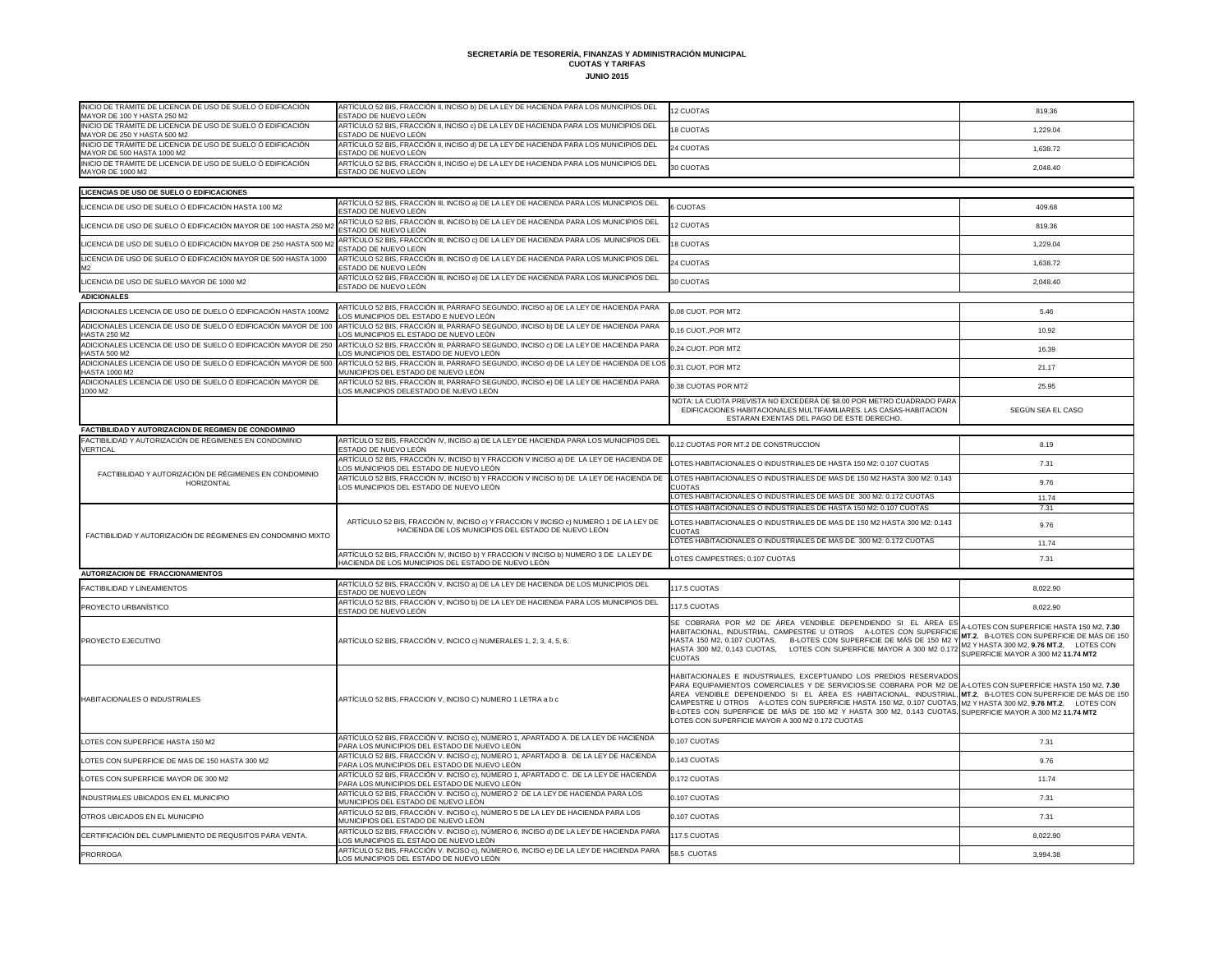**SECRETARÍA DE TESORERÍA, FINANZAS Y ADMINISTRACIÓN MUNICIPAL CUOTAS Y TARIFAS**

**JUNIO 2015**

| INICIO DE TRÁMITE DE LICENCIA DE USO DE SUELO Ó EDIFICACIÓN<br>MAYOR DE 100 Y HASTA 250 M2 | ARTÍCULO 52 BIS, FRACCIÓN II, INCISO b) DE LA LEY DE HACIENDA PARA LOS MUNICIPIOS DEL<br>ESTADO DE NUEVO LEÓN                               | 12 CUOTAS                                                                                                                                                                                                                                                                                                                                                                                                                                                                                                                                                                           | 819.36                                                                                                                                                                    |
|--------------------------------------------------------------------------------------------|---------------------------------------------------------------------------------------------------------------------------------------------|-------------------------------------------------------------------------------------------------------------------------------------------------------------------------------------------------------------------------------------------------------------------------------------------------------------------------------------------------------------------------------------------------------------------------------------------------------------------------------------------------------------------------------------------------------------------------------------|---------------------------------------------------------------------------------------------------------------------------------------------------------------------------|
| INICIO DE TRÁMITE DE LICENCIA DE USO DE SUELO Ó EDIFICACIÓN<br>MAYOR DE 250 Y HASTA 500 M2 | ARTÍCULO 52 BIS, FRACCIÓN II, INCISO c) DE LA LEY DE HACIENDA PARA LOS MUNICIPIOS DEL<br>ESTADO DE NUEVO LEÓN                               | <b>18 CUOTAS</b>                                                                                                                                                                                                                                                                                                                                                                                                                                                                                                                                                                    | 1,229.04                                                                                                                                                                  |
| INICIO DE TRÁMITE DE LICENCIA DE USO DE SUELO Ó EDIFICACIÓN<br>MAYOR DE 500 HASTA 1000 M2  | ARTÍCULO 52 BIS, FRACCIÓN II, INCISO d) DE LA LEY DE HACIENDA PARA LOS MUNICIPIOS DEL<br>ESTADO DE NUEVO LEÓN                               | 24 CUOTAS                                                                                                                                                                                                                                                                                                                                                                                                                                                                                                                                                                           | 1,638.72                                                                                                                                                                  |
| INICIO DE TRÁMITE DE LICENCIA DE USO DE SUELO Ó EDIFICACIÓN<br>MAYOR DE 1000 M2            | ARTÍCULO 52 BIS, FRACCIÓN II, INCISO e) DE LA LEY DE HACIENDA PARA LOS MUNICIPIOS DEL<br>ESTADO DE NUEVO LEÓN                               | 30 CUOTAS                                                                                                                                                                                                                                                                                                                                                                                                                                                                                                                                                                           | 2,048.40                                                                                                                                                                  |
|                                                                                            |                                                                                                                                             |                                                                                                                                                                                                                                                                                                                                                                                                                                                                                                                                                                                     |                                                                                                                                                                           |
| LICENCIAS DE USO DE SUELO O EDIFICACIONES                                                  | ARTÍCULO 52 BIS, FRACCIÓN III, INCISO a) DE LA LEY DE HACIENDA PARA LOS MUNICIPIOS DEL                                                      |                                                                                                                                                                                                                                                                                                                                                                                                                                                                                                                                                                                     |                                                                                                                                                                           |
| LICENCIA DE USO DE SUELO Ó EDIFICACIÓN HASTA 100 M2                                        | ESTADO DE NUEVO LEÓN<br>ARTÍCULO 52 BIS, FRACCIÓN III, INCISO b) DE LA LEY DE HACIENDA PARA LOS MUNICIPIOS DEL                              | 6 CUOTAS                                                                                                                                                                                                                                                                                                                                                                                                                                                                                                                                                                            | 409.68                                                                                                                                                                    |
| LICENCIA DE USO DE SUELO Ó EDIFICACIÓN MAYOR DE 100 HASTA 250 M2                           | ESTADO DE NUEVO LEÓN                                                                                                                        | 12 CUOTAS                                                                                                                                                                                                                                                                                                                                                                                                                                                                                                                                                                           | 819.36                                                                                                                                                                    |
| LICENCIA DE USO DE SUELO Ó EDIFICACIÓN MAYOR DE 250 HASTA 500 M2                           | ARTÍCULO 52 BIS, FRACCIÓN III, INCISO c) DE LA LEY DE HACIENDA PARA LOS MUNICIPIOS DEL<br>ESTADO DE NUEVO LEÓN                              | <b>18 CUOTAS</b>                                                                                                                                                                                                                                                                                                                                                                                                                                                                                                                                                                    | 1,229.04                                                                                                                                                                  |
| LICENCIA DE USO DE SUELO Ó EDIFICACIÓN MAYOR DE 500 HASTA 1000                             | ARTÍCULO 52 BIS, FRACCIÓN III, INCISO d) DE LA LEY DE HACIENDA PARA LOS MUNICIPIOS DEL<br>ESTADO DE NUEVO LEÓN                              | 24 CUOTAS                                                                                                                                                                                                                                                                                                                                                                                                                                                                                                                                                                           | 1,638.72                                                                                                                                                                  |
| LICENCIA DE USO DE SUELO MAYOR DE 1000 M2                                                  | ARTÍCULO 52 BIS, FRACCIÓN III, INCISO e) DE LA LEY DE HACIENDA PARA LOS MUNICIPIOS DEL<br>ESTADO DE NUEVO LEÓN                              | 30 CUOTAS                                                                                                                                                                                                                                                                                                                                                                                                                                                                                                                                                                           | 2,048.40                                                                                                                                                                  |
| <b>ADICIONALES</b>                                                                         |                                                                                                                                             |                                                                                                                                                                                                                                                                                                                                                                                                                                                                                                                                                                                     |                                                                                                                                                                           |
| ADICIONALES LICENCIA DE USO DE DUELO Ó EDIFICACIÓN HASTA 100M2                             | ARTÍCULO 52 BIS, FRACCIÓN III, PÁRRAFO SEGUNDO, INCISO a) DE LA LEY DE HACIENDA PARA<br>LOS MUNICIPIOS DEL ESTADO E NUEVO LEÓN              | 0.08 CUOT. POR MT2                                                                                                                                                                                                                                                                                                                                                                                                                                                                                                                                                                  | 5.46                                                                                                                                                                      |
| ADICIONALES LICENCIA DE USO DE SUELO Ó EDIFICACIÓN MAYOR DE 100<br><b>HASTA 250 M2</b>     | ARTÍCULO 52 BIS, FRACCIÓN III, PÁRRAFO SEGUNDO, INCISO b) DE LA LEY DE HACIENDA PARA<br>LOS MUNICIPIOS EL ESTADO DE NUEVO LEÓN              | 0.16 CUOT., POR MT2                                                                                                                                                                                                                                                                                                                                                                                                                                                                                                                                                                 | 10.92                                                                                                                                                                     |
| ADICIONALES LICENCIA DE USO DE SUELO Ó EDIFICACIÓN MAYOR DE 250<br><b>HASTA 500 M2</b>     | ARTÍCULO 52 BIS, FRACCIÓN III, PÁRRAFO SEGUNDO, INCISO c) DE LA LEY DE HACIENDA PARA<br>LOS MUNICIPIOS DEL ESTADO DE NUEVO LEÓN             | 0.24 CUOT. POR MT2                                                                                                                                                                                                                                                                                                                                                                                                                                                                                                                                                                  | 16.39                                                                                                                                                                     |
| ADICIONALES LICENCIA DE USO DE SUELO Ó EDIFICACIÓN MAYOR DE 500                            | ARTÍCULO 52 BIS, FRACCIÓN III, PÁRRAFO SEGUNDO, INCISO d) DE LA LEY DE HACIENDA DE LOS                                                      | 0.31 CUOT. POR MT2                                                                                                                                                                                                                                                                                                                                                                                                                                                                                                                                                                  | 21.17                                                                                                                                                                     |
| <b>HASTA 1000 M2</b><br>ADICIONALES LICENCIA DE USO DE SUELO Ó EDIFICACIÓN MAYOR DE        | MUNICIPIOS DEL ESTADO DE NUEVO LEÓN<br>ARTÍCULO 52 BIS, FRACCIÓN III, PÁRRAFO SEGUNDO, INCISO e) DE LA LEY DE HACIENDA PARA                 | 0.38 CUOTAS POR MT2                                                                                                                                                                                                                                                                                                                                                                                                                                                                                                                                                                 | 25.95                                                                                                                                                                     |
| 1000 M2                                                                                    | LOS MUNICIPIOS DELESTADO DE NUEVO LEÓN                                                                                                      | NOTA: LA CUOTA PREVISTA NO EXCEDERÁ DE \$8.00 POR METRO CUADRADO PARA                                                                                                                                                                                                                                                                                                                                                                                                                                                                                                               |                                                                                                                                                                           |
|                                                                                            |                                                                                                                                             | EDIFICACIONES HABITACIONALES MULTIFAMILIARES. LAS CASAS-HABITACION<br>ESTARAN EXENTAS DEL PAGO DE ESTE DERECHO.                                                                                                                                                                                                                                                                                                                                                                                                                                                                     | SEGÚN SEA EL CASO                                                                                                                                                         |
| FACTIBILIDAD Y AUTORIZACION DE REGIMEN DE CONDOMINIO                                       |                                                                                                                                             |                                                                                                                                                                                                                                                                                                                                                                                                                                                                                                                                                                                     |                                                                                                                                                                           |
| FACTIBILIDAD Y AUTORIZACIÓN DE RÉGIMENES EN CONDOMINIO<br><b>VERTICAL</b>                  | ARTÍCULO 52 BIS, FRACCIÓN IV, INCISO a) DE LA LEY DE HACIENDA PARA LOS MUNICIPIOS DEL<br>ESTADO DE NUEVO LEÓN                               | 0.12 CUOTAS POR MT.2 DE CONSTRUCCION                                                                                                                                                                                                                                                                                                                                                                                                                                                                                                                                                | 8.19                                                                                                                                                                      |
|                                                                                            | ARTÍCULO 52 BIS, FRACCIÓN IV, INCISO b) Y FRACCION V INCISO a) DE LA LEY DE HACIENDA DE<br>LOS MUNICIPIOS DEL ESTADO DE NUEVO LEÓN          | LOTES HABITACIONALES O INDUSTRIALES DE HASTA 150 M2: 0.107 CUOTAS                                                                                                                                                                                                                                                                                                                                                                                                                                                                                                                   | 7.31                                                                                                                                                                      |
| FACTIBILIDAD Y AUTORIZACIÓN DE RÉGIMENES EN CONDOMINIO<br>HORIZONTAL                       | ARTÍCULO 52 BIS, FRACCIÓN IV, INCISO b) Y FRACCION V INCISO b) DE LA LEY DE HACIENDA DE<br>LOS MUNICIPIOS DEL ESTADO DE NUEVO LEÓN          | LOTES HABITACIONALES O INDUSTRIALES DE MAS DE 150 M2 HASTA 300 M2: 0.143<br><b>CUOTAS</b>                                                                                                                                                                                                                                                                                                                                                                                                                                                                                           | 9.76                                                                                                                                                                      |
|                                                                                            |                                                                                                                                             | LOTES HABITACIONALES O INDUSTRIALES DE MAS DE 300 M2: 0.172 CUOTAS                                                                                                                                                                                                                                                                                                                                                                                                                                                                                                                  | 11.74                                                                                                                                                                     |
|                                                                                            |                                                                                                                                             | LOTES HABITACIONALES O INDUSTRIALES DE HASTA 150 M2: 0.107 CUOTAS                                                                                                                                                                                                                                                                                                                                                                                                                                                                                                                   | 7.31                                                                                                                                                                      |
|                                                                                            | ARTÍCULO 52 BIS, FRACCIÓN IV, INCISO c) Y FRACCION V INCISO c) NUMERO 1 DE LA LEY DE<br>HACIENDA DE LOS MUNICIPIOS DEL ESTADO DE NUEVO LEÓN | LOTES HABITACIONALES O INDUSTRIALES DE MAS DE 150 M2 HASTA 300 M2: 0.143<br><b>CUOTAS</b>                                                                                                                                                                                                                                                                                                                                                                                                                                                                                           | 9.76                                                                                                                                                                      |
| FACTIBILIDAD Y AUTORIZACIÓN DE RÉGIMENES EN CONDOMINIO MIXTO                               |                                                                                                                                             | LOTES HABITACIONALES O INDUSTRIALES DE MAS DE 300 M2: 0.172 CUOTAS                                                                                                                                                                                                                                                                                                                                                                                                                                                                                                                  | 11.74                                                                                                                                                                     |
|                                                                                            | ARTÍCULO 52 BIS, FRACCIÓN IV, INCISO b) Y FRACCION V INCISO b) NUMERO 3 DE LA LEY DE<br>HACIENDA DE LOS MUNICIPIOS DEL ESTADO DE NUEVO LEÓN | LOTES CAMPESTRES: 0.107 CUOTAS                                                                                                                                                                                                                                                                                                                                                                                                                                                                                                                                                      | 7.31                                                                                                                                                                      |
| <b>AUTORIZACION DE FRACCIONAMIENTOS</b>                                                    |                                                                                                                                             |                                                                                                                                                                                                                                                                                                                                                                                                                                                                                                                                                                                     |                                                                                                                                                                           |
| <b>FACTIBILIDAD Y LINEAMIENTOS</b>                                                         | ARTÍCULO 52 BIS, FRACCIÓN V, INCISO a) DE LA LEY DE HACIENDA DE LOS MUNICIPIOS DEL<br>ESTADO DE NUEVO LEÓN                                  | 117.5 CUOTAS                                                                                                                                                                                                                                                                                                                                                                                                                                                                                                                                                                        | 8,022.90                                                                                                                                                                  |
| PROYECTO URBANÍSTICO                                                                       | ARTÍCULO 52 BIS, FRACCIÓN V, INCISO b) DE LA LEY DE HACIENDA PARA LOS MUNICIPIOS DEL<br>ESTADO DE NUEVO LEÓN                                | 117.5 CUOTAS                                                                                                                                                                                                                                                                                                                                                                                                                                                                                                                                                                        | 8,022.90                                                                                                                                                                  |
| <b>PROYECTO EJECUTIVO</b>                                                                  | ARTÍCULO 52 BIS, FRACCIÓN V, INCICO c) NUMERALES 1, 2, 3, 4, 5, 6.                                                                          | SE COBRARA POR M2 DE ÁREA VENDIBLE DEPENDIENDO SI EL ÁREA ES<br>HABITACIONAL, INDUSTRIAL, CAMPESTRE U OTROS A-LOTES CON SUPERFICIE<br>HASTA 150 M2, 0.107 CUOTAS, B-LOTES CON SUPERFICIE DE MÁS DE 150 M2 Y<br>HASTA 300 M2, 0.143 CUOTAS, LOTES CON SUPERFICIE MAYOR A 300 M2 0.172<br><b>CUOTAS</b>                                                                                                                                                                                                                                                                               | A-LOTES CON SUPERFICIE HASTA 150 M2, 7.30<br>MT.2, B-LOTES CON SUPERFICIE DE MÁS DE 150<br>M2 Y HASTA 300 M2, 9.76 MT.2, LOTES CON<br>SUPERFICIE MAYOR A 300 M2 11.74 MT2 |
| HABITACIONALES O INDUSTRIALES                                                              | ARTÍCULO 52 BIS, FRACCION V, INCISO C) NUMERO 1 LETRA a b c                                                                                 | HABITACIONALES E INDUSTRIALES, EXCEPTUANDO LOS PREDIOS RESERVADOS<br>PARA EQUIPAMIENTOS COMERCIALES Y DE SERVICIOS:SE COBRARA POR M2 DE A-LOTES CON SUPERFICIE HASTA 150 M2, 7.30<br>ÁREA VENDIBLE DEPENDIENDO SI EL ÁREA ES HABITACIONAL, INDUSTRIAL, MT.2, B-LOTESCON SUPERFICIE DE MÁS DE 150  <br>CAMPESTRE U OTROS A-LOTES CON SUPERFICIE HASTA 150 M2, 0.107 CUOTAS, M2 Y HASTA 300 M2, 9.76 MT.2, LOTES CON<br>B-LOTES CON SUPERFICIE DE MÁS DE 150 M2 Y HASTA 300 M2, 0.143 CUOTAS, SUPERFICIE MAYOR A 300 M2 11.74 MT2<br>LOTES CON SUPERFICIE MAYOR A 300 M2 0.172 CUOTAS |                                                                                                                                                                           |
| LOTES CON SUPERFICIE HASTA 150 M2                                                          | ARTÍCULO 52 BIS, FRACCIÓN V. INCISO c), NÚMERO 1, APARTADO A. DE LA LEY DE HACIENDA<br>PARA LOS MUNICIPIOS DEL ESTADO DE NUEVO LEÓN         | 0.107 CUOTAS                                                                                                                                                                                                                                                                                                                                                                                                                                                                                                                                                                        | 7.31                                                                                                                                                                      |
| LOTES CON SUPERFICIE DE MAS DE 150 HASTA 300 M2                                            | ARTÍCULO 52 BIS, FRACCIÓN V. INCISO c), NÚMERO 1, APARTADO B. DE LA LEY DE HACIENDA<br>PARA LOS MUNICIPIOS DEL ESTADO DE NUEVO LEÓN         | 0.143 CUOTAS                                                                                                                                                                                                                                                                                                                                                                                                                                                                                                                                                                        | 9.76                                                                                                                                                                      |
| LOTES CON SUPERFICIE MAYOR DE 300 M2                                                       | ARTÍCULO 52 BIS, FRACCIÓN V. INCISO c), NÚMERO 1, APARTADO C. DE LA LEY DE HACIENDA<br>PARA LOS MUNICIPIOS DEL ESTADO DE NUEVO LEÓN         | 0.172 CUOTAS                                                                                                                                                                                                                                                                                                                                                                                                                                                                                                                                                                        | 11.74                                                                                                                                                                     |
| INDUSTRIALES UBICADOS EN EL MUNICIPIO                                                      | ARTÍCULO 52 BIS, FRACCIÓN V. INCISO c), NÚMERO 2 DE LA LEY DE HACIENDA PARA LOS<br>MUNICIPIOS DEL ESTADO DE NUEVO LEÓN                      | 0.107 CUOTAS                                                                                                                                                                                                                                                                                                                                                                                                                                                                                                                                                                        | 7.31                                                                                                                                                                      |
| OTROS UBICADOS EN EL MUNICIPIO                                                             | ARTÍCULO 52 BIS, FRACCIÓN V. INCISO c), NÚMERO 5 DE LA LEY DE HACIENDA PARA LOS<br>MUNICIPIOS DEL ESTADO DE NUEVO LEÓN                      | 0.107 CUOTAS                                                                                                                                                                                                                                                                                                                                                                                                                                                                                                                                                                        | 7.31                                                                                                                                                                      |
| CERTIFICACIÓN DEL CUMPLIMIENTO DE REQUSITOS PARA VENTA.                                    | ARTÍCULO 52 BIS, FRACCIÓN V. INCISO c), NÚMERO 6, INCISO d) DE LA LEY DE HACIENDA PARA<br>LOS MUNICIPIOS EL ESTADO DE NUEVO LEÓN            | 117.5 CUOTAS                                                                                                                                                                                                                                                                                                                                                                                                                                                                                                                                                                        | 8,022.90                                                                                                                                                                  |
| PRORROGA                                                                                   | ARTÍCULO 52 BIS, FRACCIÓN V. INCISO c), NÚMERO 6, INCISO e) DE LA LEY DE HACIENDA PARA<br>LOS MUNICIPIOS DEL ESTADO DE NUEVO LEÓN           | 58.5 CUOTAS                                                                                                                                                                                                                                                                                                                                                                                                                                                                                                                                                                         | 3,994.38                                                                                                                                                                  |
|                                                                                            |                                                                                                                                             |                                                                                                                                                                                                                                                                                                                                                                                                                                                                                                                                                                                     |                                                                                                                                                                           |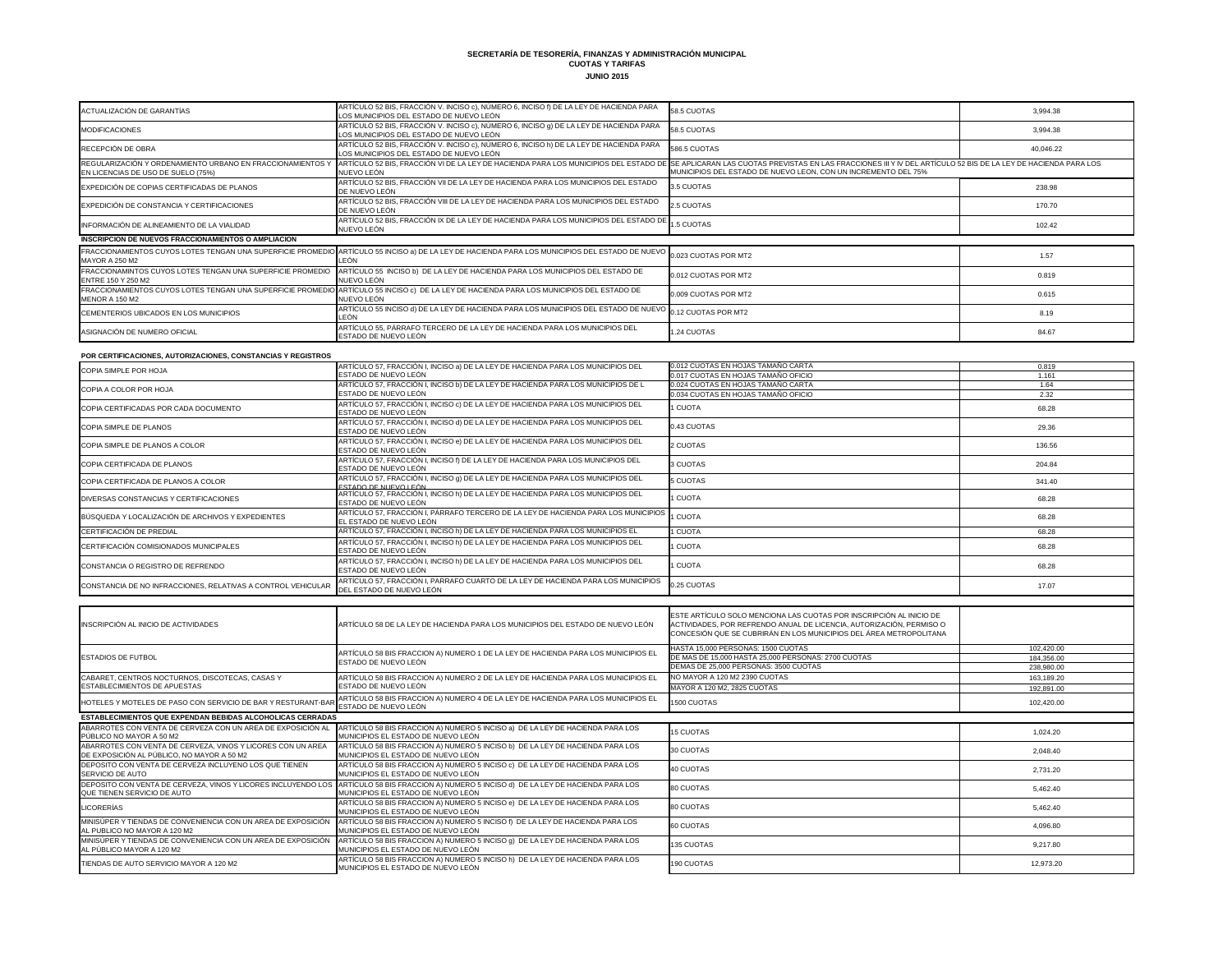**SECRETARÍA DE TESORERÍA, FINANZAS Y ADMINISTRACIÓN MUNICIPAL**

**CUOTAS Y TARIFAS JUNIO 2015**

| ACTUALIZACIÓN DE GARANTÍAS                                                                       | ARTÍCULO 52 BIS, FRACCIÓN V. INCISO c), NÚMERO 6, INCISO f) DE LA LEY DE HACIENDA PARA<br>LOS MUNICIPIOS DEL ESTADO DE NUEVO LEÓN                                                                                  | 58.5 CUOTAS                                                    | 3,994.38  |
|--------------------------------------------------------------------------------------------------|--------------------------------------------------------------------------------------------------------------------------------------------------------------------------------------------------------------------|----------------------------------------------------------------|-----------|
| <b>MODIFICACIONES</b>                                                                            | ARTÍCULO 52 BIS, FRACCIÓN V. INCISO c), NÚMERO 6, INCISO 9) DE LA LEY DE HACIENDA PARA<br>LOS MUNICIPIOS DEL ESTADO DE NUEVO LEÓN                                                                                  | 58.5 CUOTAS                                                    | 3.994.38  |
| RECEPCIÓN DE OBRA                                                                                | ARTÍCULO 52 BIS, FRACCIÓN V. INCISO c), NÚMERO 6, INCISO h) DE LA LEY DE HACIENDA PARA<br>LOS MUNICIPIOS DEL ESTADO DE NUEVO LEÓN                                                                                  | 586.5 CUOTAS                                                   | 40,046.22 |
| REGULARIZACIÓN Y ORDENAMIENTO URBANO EN FRACCIONAMIENTOS Y<br>EN LICENCIAS DE USO DE SUELO (75%) | ARTÍCULO 52 BIS, FRACCIÓN VI DE LA LEY DE HACIENDA PARA LOS MUNICIPIOS DEL ESTADO DE SE APLICARAN LAS CUOTAS PREVISTAS EN LAS FRACCIONES III Y IV DEL ARTÍCULO 52 BIS DE LA LEY DE HACIENDA PARA LOS<br>NUEVO LEÓN | MUNICIPIOS DEL ESTADO DE NUEVO LEON. CON UN INCREMENTO DEL 75% |           |
| EXPEDICIÓN DE COPIAS CERTIFICADAS DE PLANOS                                                      | ARTÍCULO 52 BIS, FRACCIÓN VII DE LA LEY DE HACIENDA PARA LOS MUNICIPIOS DEL ESTADO<br>DE NUEVO LEÓN                                                                                                                | 3.5 CUOTAS                                                     | 238.98    |
| EXPEDICIÓN DE CONSTANCIA Y CERTIFICACIONES                                                       | ARTÍCULO 52 BIS, FRACCIÓN VIII DE LA LEY DE HACIENDA PARA LOS MUNICIPIOS DEL ESTADO<br>DE NUEVO LEÓN                                                                                                               | 2.5 CUOTAS                                                     | 170.70    |
| INFORMACIÓN DE ALINEAMIENTO DE LA VIALIDAD                                                       | ARTÍCULO 52 BIS, FRACCIÓN IX DE LA LEY DE HACIENDA PARA LOS MUNICIPIOS DEL ESTADO DE 1.5 CUOTAS<br>NUEVO LEÓN                                                                                                      |                                                                | 102.42    |
| INSCRIPCION DE NUEVOS FRACCIONAMIENTOS O AMPLIACION                                              |                                                                                                                                                                                                                    |                                                                |           |
| <b>FRACCIONAMIENTOS CUYOS LOTES TENGAN UNA SUPERFICIE PROMEDIO</b><br><b>MAYOR A 250 M2</b>      | ARTÍCULO 55 INCISO a) DE LA LEY DE HACIENDA PARA LOS MUNICIPIOS DEL ESTADO DE NUEVO<br>LEÓN                                                                                                                        | 0.023 CUOTAS POR MT2                                           | 1.57      |
| FRACCIONAMINTOS CUYOS LOTES TENGAN UNA SUPERFICIE PROMEDIO<br>ENTRE 150 Y 250 M2                 | ARTÍCULO 55 INCISO b) DE LA LEY DE HACIENDA PARA LOS MUNICIPIOS DEL ESTADO DE<br>NUEVO LEÓN                                                                                                                        | 0.012 CUOTAS POR MT2                                           | 0.819     |
| FRACCIONAMIENTOS CUYOS LOTES TENGAN UNA SUPERFICIE PROMEDIO<br><b>MENOR A 150 M2</b>             | ARTÍCULO 55 INCISO c) DE LA LEY DE HACIENDA PARA LOS MUNICIPIOS DEL ESTADO DE<br>NUEVO LEÓN                                                                                                                        | 0.009 CUOTAS POR MT2                                           | 0.615     |
| CEMENTERIOS UBICADOS EN LOS MUNICIPIOS                                                           | ARTÍCULO 55 INCISO d) DE LA LEY DE HACIENDA PARA LOS MUNICIPIOS DEL ESTADO DE NUEVO<br>LEÓN                                                                                                                        | 0.12 CUOTAS POR MT2                                            | 8.19      |
| ASIGNACIÓN DE NUMERO OFICIAL                                                                     | ARTÍCULO 55, PÁRRAFO TERCERO DE LA LEY DE HACIENDA PARA LOS MUNICIPIOS DEL<br>ESTADO DE NUEVO LEÓN                                                                                                                 | 1.24 CUOTAS                                                    | 84.67     |
| POR CERTIFICACIONES, AUTORIZACIONES, CONSTANCIAS Y REGISTROS                                     |                                                                                                                                                                                                                    |                                                                |           |
| <b>COPIA SIMPLE POR HOJA</b>                                                                     | ARTÍCULO 57, FRACCIÓN I, INCISO a) DE LA LEY DE HACIENDA PARA LOS MUNICIPIOS DEL                                                                                                                                   | 0.012 CUOTAS EN HOJAS TAMAÑO CARTA                             | 0.819     |
|                                                                                                  | ESTADO DE NUEVO LEÓN                                                                                                                                                                                               | 0.017 CUOTAS EN HOJAS TAMAÑO OFICIO                            | 1.161     |
| COPIA A COLOR POR HOJA                                                                           | ARTÍCULO 57, FRACCIÓN I, INCISO b) DE LA LEY DE HACIENDA PARA LOS MUNICIPIOS DE L                                                                                                                                  | 0.024 CUOTAS EN HOJAS TAMAÑO CARTA                             | 1.64      |
|                                                                                                  | ESTADO DE NUEVO LEÓN                                                                                                                                                                                               | 0.034 CUOTAS EN HOJAS TAMAÑO OFICIO                            | 2.32      |
| COPIA CERTIFICADAS POR CADA DOCUMENTO                                                            | ARTÍCULO 57, FRACCIÓN I, INCISO c) DE LA LEY DE HACIENDA PARA LOS MUNICIPIOS DEL<br><b>ESTADO DE NUEVO LEÓN</b>                                                                                                    | 1 CUOTA                                                        | 68.28     |

| <b>POR CERTIFICACIONES, AUTORIZACIONES, CONSTANCIAS Y REGISTROS</b>                                       |                                                                                                                     |                                                                                                                                                                                                                   |            |
|-----------------------------------------------------------------------------------------------------------|---------------------------------------------------------------------------------------------------------------------|-------------------------------------------------------------------------------------------------------------------------------------------------------------------------------------------------------------------|------------|
| COPIA SIMPLE POR HOJA                                                                                     | ARTÍCULO 57, FRACCIÓN I, INCISO a) DE LA LEY DE HACIENDA PARA LOS MUNICIPIOS DEL                                    | 0.012 CUOTAS EN HOJAS TAMAÑO CARTA                                                                                                                                                                                | 0.819      |
|                                                                                                           | ESTADO DE NUEVO LEÓN                                                                                                | 0.017 CUOTAS EN HOJAS TAMAÑO OFICIO                                                                                                                                                                               | 1.161      |
| COPIA A COLOR POR HOJA                                                                                    | ARTÍCULO 57, FRACCIÓN I, INCISO b) DE LA LEY DE HACIENDA PARA LOS MUNICIPIOS DE L                                   | 0.024 CUOTAS EN HOJAS TAMAÑO CARTA                                                                                                                                                                                | 1.64       |
|                                                                                                           | ESTADO DE NUEVO LEÓN                                                                                                | 0.034 CUOTAS EN HOJAS TAMAÑO OFICIO                                                                                                                                                                               | 2.32       |
| COPIA CERTIFICADAS POR CADA DOCUMENTO                                                                     | ARTÍCULO 57, FRACCIÓN I, INCISO c) DE LA LEY DE HACIENDA PARA LOS MUNICIPIOS DEL<br>ESTADO DE NUEVO LEÓN            | 1 CUOTA                                                                                                                                                                                                           | 68.28      |
| COPIA SIMPLE DE PLANOS                                                                                    | ARTÍCULO 57, FRACCIÓN I, INCISO d) DE LA LEY DE HACIENDA PARA LOS MUNICIPIOS DEL<br>ESTADO DE NUEVO LEÓN            | 0.43 CUOTAS                                                                                                                                                                                                       | 29.36      |
| COPIA SIMPLE DE PLANOS A COLOR                                                                            | ARTÍCULO 57, FRACCIÓN I, INCISO e) DE LA LEY DE HACIENDA PARA LOS MUNICIPIOS DEL<br>ESTADO DE NUEVO LEÓN            | 2 CUOTAS                                                                                                                                                                                                          | 136.56     |
| COPIA CERTIFICADA DE PLANOS                                                                               | ARTÍCULO 57, FRACCIÓN I, INCISO f) DE LA LEY DE HACIENDA PARA LOS MUNICIPIOS DEL<br>ESTADO DE NUEVO LEÓN            | 3 CUOTAS                                                                                                                                                                                                          | 204.84     |
| COPIA CERTIFICADA DE PLANOS A COLOR                                                                       | ARTÍCULO 57, FRACCIÓN I, INCISO 9) DE LA LEY DE HACIENDA PARA LOS MUNICIPIOS DEL<br><b>ESTADO DE NUEVO LEÓN</b>     | <b>5 CUOTAS</b>                                                                                                                                                                                                   | 341.40     |
| DIVERSAS CONSTANCIAS Y CERTIFICACIONES                                                                    | ARTÍCULO 57, FRACCIÓN I, INCISO h) DE LA LEY DE HACIENDA PARA LOS MUNICIPIOS DEL<br>ESTADO DE NUEVO LEÓN            | 1 CUOTA                                                                                                                                                                                                           | 68.28      |
| BÚSQUEDA Y LOCALIZACIÓN DE ARCHIVOS Y EXPEDIENTES                                                         | ARTÍCULO 57, FRACCIÓN I, PÁRRAFO TERCERO DE LA LEY DE HACIENDA PARA LOS MUNICIPIOS<br>EL ESTADO DE NUEVO LEÓN       | 1 CUOTA                                                                                                                                                                                                           | 68.28      |
| CERTIFICACIÓN DE PREDIAL                                                                                  | ARTÍCULO 57, FRACCIÓN I, INCISO h) DE LA LEY DE HACIENDA PARA LOS MUNICIPIOS EL                                     | 1 CUOTA                                                                                                                                                                                                           | 68.28      |
| CERTIFICACIÓN COMISIONADOS MUNICIPALES                                                                    | ARTÍCULO 57, FRACCIÓN I, INCISO h) DE LA LEY DE HACIENDA PARA LOS MUNICIPIOS DEL<br>ESTADO DE NUEVO LEÓN            | 1 CUOTA                                                                                                                                                                                                           | 68.28      |
| CONSTANCIA O REGISTRO DE REFRENDO                                                                         | ARTÍCULO 57, FRACCIÓN I, INCISO h) DE LA LEY DE HACIENDA PARA LOS MUNICIPIOS DEL<br>ESTADO DE NUEVO LEÓN            | 1 CUOTA                                                                                                                                                                                                           | 68.28      |
| CONSTANCIA DE NO INFRACCIONES, RELATIVAS A CONTROL VEHICULAR                                              | ARTÍCULO 57, FRACCIÓN I, PARRAFO CUARTO DE LA LEY DE HACIENDA PARA LOS MUNICIPIOS<br>DEL ESTADO DE NUEVO LEÓN       | 0.25 CUOTAS                                                                                                                                                                                                       | 17.07      |
|                                                                                                           |                                                                                                                     |                                                                                                                                                                                                                   |            |
| INSCRIPCIÓN AL INICIO DE ACTIVIDADES                                                                      | ARTÍCULO 58 DE LA LEY DE HACIENDA PARA LOS MUNICIPIOS DEL ESTADO DE NUEVO LEÓN                                      | ESTE ARTÍCULO SOLO MENCIONA LAS CUOTAS POR INSCRIPCIÓN AL INICIO DE<br>ACTIVIDADES, POR REFRENDO ANUAL DE LICENCIA, AUTORIZACIÓN, PERMISO O<br>CONCESIÓN QUE SE CUBRIRÁN EN LOS MUNICIPIOS DEL ÁREA METROPOLITANA |            |
|                                                                                                           |                                                                                                                     | HASTA 15,000 PERSONAS: 1500 CUOTAS                                                                                                                                                                                | 102,420.00 |
| <b>ESTADIOS DE FUTBOL</b>                                                                                 | ARTÍCULO 58 BIS FRACCION A) NUMERO 1 DE LA LEY DE HACIENDA PARA LOS MUNICIPIOS EL<br>ESTADO DE NUEVO LEÓN           | DE MAS DE 15,000 HASTA 25,000 PERSONAS: 2700 CUOTAS                                                                                                                                                               | 184,356.00 |
|                                                                                                           |                                                                                                                     | DEMAS DE 25,000 PERSONAS: 3500 CUOTAS                                                                                                                                                                             | 238,980.00 |
| CABARET, CENTROS NOCTURNOS, DISCOTECAS, CASAS Y                                                           | ARTÍCULO 58 BIS FRACCION A) NUMERO 2 DE LA LEY DE HACIENDA PARA LOS MUNICIPIOS EL                                   | NO MAYOR A 120 M2 2390 CUOTAS                                                                                                                                                                                     | 163,189.20 |
| ESTABLECIMIENTOS DE APUESTAS                                                                              | ESTADO DE NUEVO LEÓN                                                                                                | MAYOR A 120 M2, 2825 CUOTAS                                                                                                                                                                                       | 192,891.00 |
| HOTELES Y MOTELES DE PASO CON SERVICIO DE BAR Y RESTURANT-BAR                                             | ARTÍCULO 58 BIS FRACCION A) NUMERO 4 DE LA LEY DE HACIENDA PARA LOS MUNICIPIOS EL<br>ESTADO DE NUEVO LEÓN           | 1500 CUOTAS                                                                                                                                                                                                       | 102,420.00 |
| <b>ESTABLECIMIENTOS QUE EXPENDAN BEBIDAS ALCOHOLICAS CERRADAS</b>                                         |                                                                                                                     |                                                                                                                                                                                                                   |            |
| ABARROTES CON VENTA DE CERVEZA CON UN AREA DE EXPOSICIÓN AL<br>PÚBLICO NO MAYOR A 50 M2                   | ARTÍCULO 58 BIS FRACCION A) NUMERO 5 INCISO a) DE LA LEY DE HACIENDA PARA LOS<br>MUNICIPIOS EL ESTADO DE NUEVO LEÓN | <b>15 CUOTAS</b>                                                                                                                                                                                                  | 1,024.20   |
| ABARROTES CON VENTA DE CERVEZA, VINOS Y LICORES CON UN AREA<br>DE EXPOSICIÓN AL PÚBLICO, NO MAYOR A 50 M2 | ARTICULO 58 BIS FRACCION A) NUMERO 5 INCISO b) DE LA LEY DE HACIENDA PARA LOS<br>MUNICIPIOS EL ESTADO DE NUEVO LEÓN | 30 CUOTAS                                                                                                                                                                                                         | 2,048.40   |
| DEPOSITO CON VENTA DE CERVEZA INCLUYENO LOS QUE TIENEN<br>SERVICIO DE AUTO                                | ARTÍCULO 58 BIS FRACCION A) NUMERO 5 INCISO c) DE LA LEY DE HACIENDA PARA LOS<br>MUNICIPIOS EL ESTADO DE NUEVO LEÓN | 40 CUOTAS                                                                                                                                                                                                         | 2,731.20   |
| DEPOSITO CON VENTA DE CERVEZA, VINOS Y LICORES INCLUYENDO LOS<br>QUE TIENEN SERVICIO DE AUTO              | ARTÍCULO 58 BIS FRACCION A) NUMERO 5 INCISO d) DE LA LEY DE HACIENDA PARA LOS<br>MUNICIPIOS EL ESTADO DE NUEVO LEÓN | 80 CUOTAS                                                                                                                                                                                                         | 5,462.40   |
| <b>LICORERÍAS</b>                                                                                         | ARTÍCULO 58 BIS FRACCION A) NUMERO 5 INCISO e) DE LA LEY DE HACIENDA PARA LOS<br>MUNICIPIOS EL ESTADO DE NUEVO LEÓN | 80 CUOTAS                                                                                                                                                                                                         | 5,462.40   |
| MINISÚPER Y TIENDAS DE CONVENIENCIA CON UN AREA DE EXPOSICIÓN<br>AL PUBLICO NO MAYOR A 120 M2             | ARTÍCULO 58 BIS FRACCION A) NUMERO 5 INCISO f) DE LA LEY DE HACIENDA PARA LOS<br>MUNICIPIOS EL ESTADO DE NUEVO LEÓN | 60 CUOTAS                                                                                                                                                                                                         | 4,096.80   |
| MINISÚPER Y TIENDAS DE CONVENIENCIA CON UN AREA DE EXPOSICIÓN<br>AL PÚBLICO MAYOR A 120 M2                | ARTÍCULO 58 BIS FRACCION A) NUMERO 5 INCISO 9) DE LA LEY DE HACIENDA PARA LOS<br>MUNICIPIOS EL ESTADO DE NUEVO LEÓN | <b>135 CUOTAS</b>                                                                                                                                                                                                 | 9,217.80   |
| TIENDAS DE AUTO SERVICIO MAYOR A 120 M2                                                                   | ARTÍCULO 58 BIS FRACCION A) NUMERO 5 INCISO h) DE LA LEY DE HACIENDA PARA LOS<br>MUNICIPIOS EL ESTADO DE NUEVO LEÓN | 190 CUOTAS                                                                                                                                                                                                        | 12,973.20  |

| INSCRIPCIÓN AL INICIO DE ACTIVIDADES                                                                      | ARTÍCULO 58 DE LA LEY DE HACIENDA PARA LOS MUNICIPIOS DEL ESTADO DE NUEVO LEÓN                                                                                                    | ESTE ARTÍCULO SOLO MENCIONA<br><b>ACTIVIDADES, POR REFRENDO A</b><br>CONCESIÓN QUE SE CUBRIRÁN E |
|-----------------------------------------------------------------------------------------------------------|-----------------------------------------------------------------------------------------------------------------------------------------------------------------------------------|--------------------------------------------------------------------------------------------------|
| <b>ESTADIOS DE FUTBOL</b>                                                                                 | ARTÍCULO 58 BIS FRACCION A) NUMERO 1 DE LA LEY DE HACIENDA PARA LOS MUNICIPIOS EL<br>ESTADO DE NUEVO LEÓN                                                                         | HASTA 15,000 PERSONAS: 1500 C<br>DE MAS DE 15,000 HASTA 25,000<br>DEMAS DE 25.000 PERSONAS: 35   |
| CABARET, CENTROS NOCTURNOS, DISCOTECAS, CASAS Y<br><b>ESTABLECIMIENTOS DE APUESTAS</b>                    | ARTÍCULO 58 BIS FRACCION A) NUMERO 2 DE LA LEY DE HACIENDA PARA LOS MUNICIPIOS EL<br>ESTADO DE NUEVO LEÓN                                                                         | NO MAYOR A 120 M2 2390 CUOTA<br>MAYOR A 120 M2, 2825 CUOTAS                                      |
| HOTELES Y MOTELES DE PASO CON SERVICIO DE BAR Y RESTURANT-BAR ESTADO DE NUEVO LEÓN                        | ARTÍCULO 58 BIS FRACCION A) NUMERO 4 DE LA LEY DE HACIENDA PARA LOS MUNICIPIOS EL                                                                                                 | 1500 CUOTAS                                                                                      |
| <b>ESTABLECIMIENTOS QUE EXPENDAN BEBIDAS ALCOHOLICAS CERRADAS</b>                                         |                                                                                                                                                                                   |                                                                                                  |
| ABARROTES CON VENTA DE CERVEZA CON UN AREA DE EXPOSICIÓN AL<br>PÚBLICO NO MAYOR A 50 M2                   | ARTÍCULO 58 BIS FRACCION A) NUMERO 5 INCISO a) DE LA LEY DE HACIENDA PARA LOS<br>MUNICIPIOS EL ESTADO DE NUEVO LEÓN                                                               | <b>15 CUOTAS</b>                                                                                 |
| ABARROTES CON VENTA DE CERVEZA, VINOS Y LICORES CON UN AREA<br>DE EXPOSICIÓN AL PÚBLICO, NO MAYOR A 50 M2 | ARTÍCULO 58 BIS FRACCION A) NUMERO 5 INCISO b) DE LA LEY DE HACIENDA PARA LOS<br>MUNICIPIOS EL ESTADO DE NUEVO LEÓN                                                               | <b>30 CUOTAS</b>                                                                                 |
| IDEPOSITO CON VENTA DE CERVEZA INCLUYENO LOS QUE TIENEN<br>SERVICIO DE AUTO                               | ARTÍCULO 58 BIS FRACCION A) NUMERO 5 INCISO c) DE LA LEY DE HACIENDA PARA LOS<br>MUNICIPIOS EL ESTADO DE NUEVO LEÓN                                                               | <b>40 CUOTAS</b>                                                                                 |
| QUE TIENEN SERVICIO DE AUTO                                                                               | DEPOSITO CON VENTA DE CERVEZA, VINOS Y LICORES INCLUYENDO LOS ARTÍCULO 58 BIS FRACCION A) NUMERO 5 INCISO d) DE LA LEY DE HACIENDA PARA LOS<br>MUNICIPIOS EL ESTADO DE NUEVO LEÓN | 80 CUOTAS                                                                                        |
| LICORERÍAS                                                                                                | ARTÍCULO 58 BIS FRACCION A) NUMERO 5 INCISO e) DE LA LEY DE HACIENDA PARA LOS<br>MUNICIPIOS EL ESTADO DE NUEVO LEÓN                                                               | <b>80 CUOTAS</b>                                                                                 |
| MINISÚPER Y TIENDAS DE CONVENIENCIA CON UN AREA DE EXPOSICIÓN<br>AL PUBLICO NO MAYOR A 120 M2             | ARTÍCULO 58 BIS FRACCION A) NUMERO 5 INCISO f) DE LA LEY DE HACIENDA PARA LOS<br>MUNICIPIOS EL ESTADO DE NUEVO LEÓN                                                               | <b>60 CUOTAS</b>                                                                                 |
| MINISÚPER Y TIENDAS DE CONVENIENCIA CON UN AREA DE EXPOSICIÓN<br>AL PÚBLICO MAYOR A 120 M2                | ARTÍCULO 58 BIS FRACCION A) NUMERO 5 INCISO g) DE LA LEY DE HACIENDA PARA LOS<br>MUNICIPIOS EL ESTADO DE NUEVO LEÓN                                                               | <b>135 CUOTAS</b>                                                                                |
| TIENDAS DE AUTO SERVICIO MAYOR A 120 M2                                                                   | ARTÍCULO 58 BIS FRACCION A) NUMERO 5 INCISO h) DE LA LEY DE HACIENDA PARA LOS<br>MUNICIPIOS EL ESTADO DE NUEVO LEÓN.                                                              | <b>190 CUOTAS</b>                                                                                |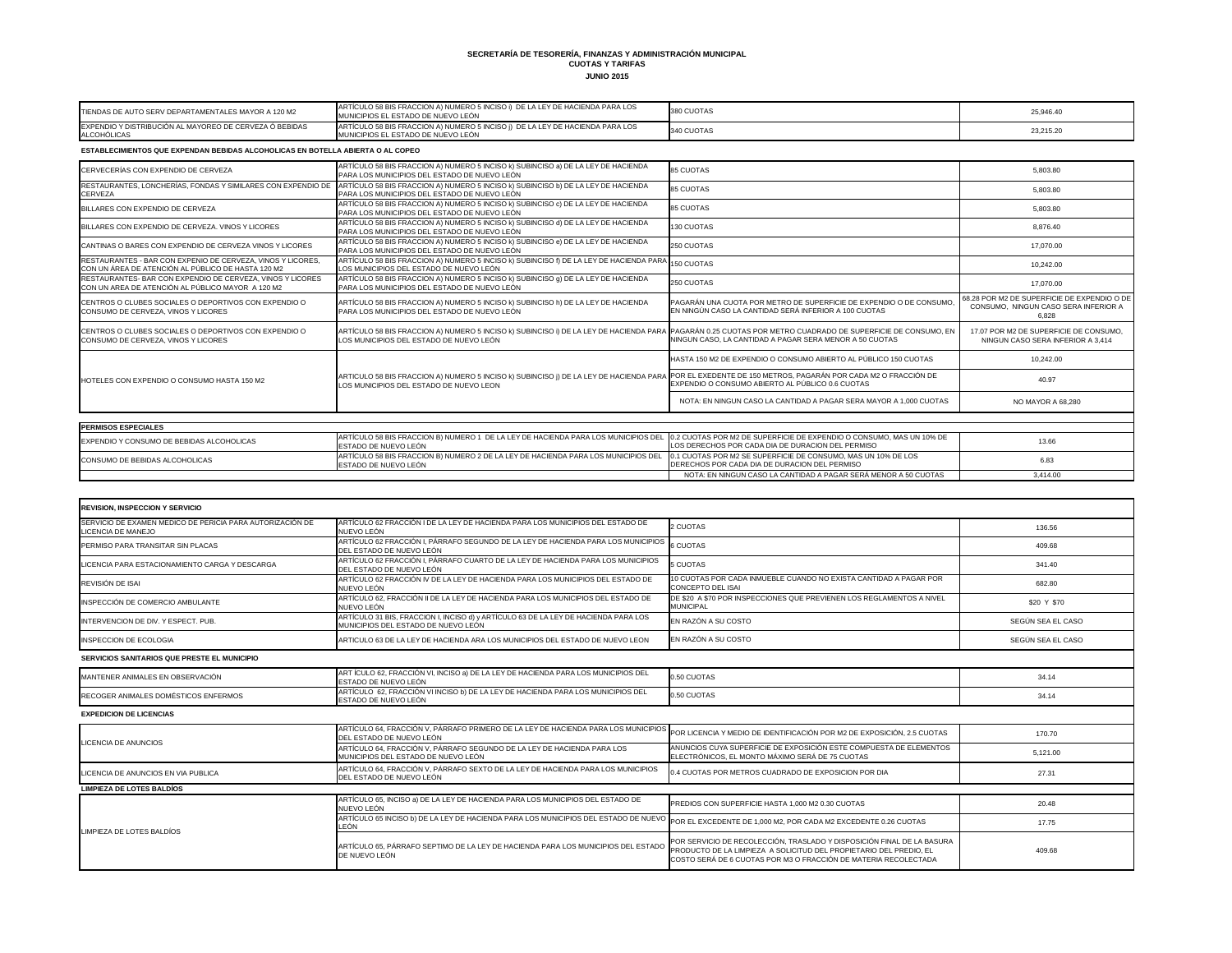## **SECRETARÍA DE TESORERÍA, FINANZAS Y ADMINISTRACIÓN MUNICIPAL CUOTAS Y TARIFAS JUNIO 2015**

| CERVECERÍAS CON EXPENDIO DE CERVEZA                                                                                     | ARTÍCULO 58 BIS FRACCION A) NUMERO 5 INCISO k) SUBINCISO a) DE LA LEY DE HACIENDA<br>PARA LOS MUNICIPIOS DEL ESTADO DE NUEVO LEÓN                                                                     | <b>85 CUOTAS</b>                                                                                                            | 5.803.80                                                                                     |
|-------------------------------------------------------------------------------------------------------------------------|-------------------------------------------------------------------------------------------------------------------------------------------------------------------------------------------------------|-----------------------------------------------------------------------------------------------------------------------------|----------------------------------------------------------------------------------------------|
| RESTAURANTES, LONCHERÍAS, FONDAS Y SIMILARES CON EXPENDIO DE<br><b>CERVEZA</b>                                          | ARTÍCULO 58 BIS FRACCION A) NUMERO 5 INCISO k) SUBINCISO b) DE LA LEY DE HACIENDA<br>PARA LOS MUNICIPIOS DEL ESTADO DE NUEVO LEÓN                                                                     | 85 CUOTAS                                                                                                                   | 5,803.80                                                                                     |
| BILLARES CON EXPENDIO DE CERVEZA                                                                                        | ARTÍCULO 58 BIS FRACCION A) NUMERO 5 INCISO k) SUBINCISO c) DE LA LEY DE HACIENDA<br>PARA LOS MUNICIPIOS DEL ESTADO DE NUEVO LEÓN                                                                     | <b>85 CUOTAS</b>                                                                                                            | 5,803.80                                                                                     |
| BILLARES CON EXPENDIO DE CERVEZA. VINOS Y LICORES                                                                       | ARTÍCULO 58 BIS FRACCION A) NUMERO 5 INCISO k) SUBINCISO d) DE LA LEY DE HACIENDA<br>PARA LOS MUNICIPIOS DEL ESTADO DE NUEVO LEÓN                                                                     | 130 CUOTAS                                                                                                                  | 8,876.40                                                                                     |
| CANTINAS O BARES CON EXPENDIO DE CERVEZA VINOS Y LICORES                                                                | ARTÍCULO 58 BIS FRACCION A) NUMERO 5 INCISO k) SUBINCISO e) DE LA LEY DE HACIENDA<br>PARA LOS MUNICIPIOS DEL ESTADO DE NUEVO LEÓN                                                                     | 250 CUOTAS                                                                                                                  | 17,070.00                                                                                    |
| <b>RESTAURANTES - BAR CON EXPENIO DE CERVEZA. VINOS Y LICORES</b><br>CON UN ÁREA DE ATENCIÓN AL PÚBLICO DE HASTA 120 M2 | ARTÍCULO 58 BIS FRACCION A) NUMERO 5 INCISO k) SUBINCISO f) DE LA LEY DE HACIENDA PARA<br>LOS MUNICIPIOS DEL ESTADO DE NUEVO LEÓN                                                                     | <b>150 CUOTAS</b>                                                                                                           | 10,242.00                                                                                    |
| RESTAURANTES- BAR CON EXPENDIO DE CERVEZA, VINOS Y LICORES<br>CON UN AREA DE ATENCIÓN AL PÚBLICO MAYOR A 120 M2         | ARTÍCULO 58 BIS FRACCION A) NUMERO 5 INCISO k) SUBINCISO g) DE LA LEY DE HACIENDA<br>PARA LOS MUNICIPIOS DEL ESTADO DE NUEVO LEÓN                                                                     | 250 CUOTAS                                                                                                                  | 17,070.00                                                                                    |
| CENTROS O CLUBES SOCIALES O DEPORTIVOS CON EXPENDIO O<br>CONSUMO DE CERVEZA. VINOS Y LICORES                            | ARTÍCULO 58 BIS FRACCION A) NUMERO 5 INCISO k) SUBINCISO h) DE LA LEY DE HACIENDA<br>PARA LOS MUNICIPIOS DEL ESTADO DE NUEVO LEÓN                                                                     | PAGARÁN UNA CUOTA POR METRO DE SUPERFICIE DE EXPENDIO O DE CONSUMO<br>EN NINGÚN CASO LA CANTIDAD SERÁ INFERIOR A 100 CUOTAS | 68.28 POR M2 DE SUPERFICIE DE EXPENDIO O DE<br>CONSUMO, NINGUN CASO SERA INFERIOR A<br>6,828 |
| CENTROS O CLUBES SOCIALES O DEPORTIVOS CON EXPENDIO O<br>CONSUMO DE CERVEZA, VINOS Y LICORES                            | ARTÍCULO 58 BIS FRACCION A) NUMERO 5 INCISO k) SUBINCISO i) DE LA LEY DE HACIENDA PARA PAGARÁN 0.25 CUOTAS POR METRO CUADRADO DE SUPERFICIE DE CONSUMO, EN<br>LOS MUNICIPIOS DEL ESTADO DE NUEVO LEÓN | NINGUN CASO, LA CANTIDAD A PAGAR SERA MENOR A 50 CUOTAS                                                                     | 17.07 POR M2 DE SUPERFICIE DE CONSUMO.<br>NINGUN CASO SERA INFERIOR A 3,414                  |
|                                                                                                                         |                                                                                                                                                                                                       | HASTA 150 M2 DE EXPENDIO O CONSUMO ABIERTO AL PÚBLICO 150 CUOTAS                                                            | 10,242.00                                                                                    |
| <b>HOTELES CON EXPENDIO O CONSUMO HASTA 150 M2</b>                                                                      | ARTICULO 58 BIS FRACCION A) NUMERO 5 INCISO k) SUBINCISO j) DE LA LEY DE HACIENDA PARA POR EL EXEDENTE DE 150 METROS, PAGARÁN POR CADA M2 O FRACCIÓN DE<br>LOS MUNICIPIOS DEL ESTADO DE NUEVO LEON    | EXPENDIO O CONSUMO ABIERTO AL PÚBLICO 0.6 CUOTAS                                                                            | 40.97                                                                                        |
|                                                                                                                         |                                                                                                                                                                                                       | NOTA: EN NINGUN CASO LA CANTIDAD A PAGAR SERA MAYOR A 1,000 CUOTAS                                                          | NO MAYOR A 68,280                                                                            |
|                                                                                                                         |                                                                                                                                                                                                       |                                                                                                                             |                                                                                              |
| <b>PERMISOS ESPECIALES</b>                                                                                              |                                                                                                                                                                                                       |                                                                                                                             |                                                                                              |
| EXPENDIO Y CONSUMO DE BEBIDAS ALCOHOLICAS                                                                               | ARTÍCULO 58 BIS FRACCION B) NUMERO 1  DE LA LEY DE HACIENDA PARA LOS MUNICIPIOS DEL<br>ESTADO DE NUEVO LEÓN                                                                                           | 0.2 CUOTAS POR M2 DE SUPERFICIE DE EXPENDIO O CONSUMO. MAS UN 10% DE<br>LOS DERECHOS POR CADA DIA DE DURACION DEL PERMISO   | 13.66                                                                                        |
| CONSUMO DE BEBIDAS ALCOHOLICAS                                                                                          | ARTÍCULO 58 BIS FRACCION B) NUMERO 2 DE LA LEY DE HACIENDA PARA LOS MUNICIPIOS DEL<br>ESTADO DE NUEVO LEÓN                                                                                            | 0.1 CUOTAS POR M2 SE SUPERFICIE DE CONSUMO, MAS UN 10% DE LOS<br>DERECHOS POR CADA DIA DE DURACION DEL PERMISO              | 6.83                                                                                         |
|                                                                                                                         |                                                                                                                                                                                                       | NOTA: EN NINGUN CASO LA CANTIDAD A PAGAR SERÁ MENOR A 50 CUOTAS                                                             | 3.414.00                                                                                     |

| <b>IEXPENDIO Y CONSUMO DE BEBIDAS ALCOHOLICAS</b> | ARTICULO 58 BIS FRACCION B) NUMERO 1 DE LA LEY DE HACIENDA PARA LOS MUNICIPIOS DEL 10.2 CUOTAS POR M2 DE SUPERFIC<br><b>LESTADO DE NUEVO LEÓN</b> | LOS DERECHOS POR CADA DIA DE         |
|---------------------------------------------------|---------------------------------------------------------------------------------------------------------------------------------------------------|--------------------------------------|
| CONSUMO DE BEBIDAS ALCOHOLICAS                    | ARTICULO 58 BIS FRACCION B) NUMERO 2 DE LA LEY DE HACIENDA PARA LOS MUNICIPIOS DEL 0.1 CUOTAS POR M2 SE SUPERFIC<br><b>IESTADO DE NUEVO LEON</b>  | <b>IDERECHOS POR CADA DIA DE DUF</b> |
|                                                   |                                                                                                                                                   | NOTA: EN NINGUN CASO LA CA           |

| TIENDAS DE AUTO SERV DEPARTAMENTALES MAYOR A 120 M2                            | ARTÍCULO 58 BIS FRACCION A) NUMERO 5 INCISO i) DE LA LEY DE HACIENDA PARA LOS<br>MUNICIPIOS EL ESTADO DE NUEVO LEÓN | 380 CUOTAS | 25.946.40 |
|--------------------------------------------------------------------------------|---------------------------------------------------------------------------------------------------------------------|------------|-----------|
| IEXPENDIO Y DISTRIBUCIÓN AL MAYOREO DE CERVEZA Ó BEBIDAS<br><b>ALCOHÓLICAS</b> | ARTÍCULO 58 BIS FRACCION A) NUMERO 5 INCISO I) DE LA LEY DE HACIENDA PARA LOS<br>IUNICIPIOS EL ESTADO DE NUEVO LEÓN | 340 CUOTAS | 23,215.20 |

| <b>REVISION, INSPECCION Y SERVICIO</b>                                                 |                                                                                                                                                             |                                                                                                                                                                                                                 |                   |
|----------------------------------------------------------------------------------------|-------------------------------------------------------------------------------------------------------------------------------------------------------------|-----------------------------------------------------------------------------------------------------------------------------------------------------------------------------------------------------------------|-------------------|
| SERVICIO DE EXAMEN MEDICO DE PERICIA PARA AUTORIZACIÓN DE<br><b>LICENCIA DE MANEJO</b> | ARTÍCULO 62 FRACCIÓN I DE LA LEY DE HACIENDA PARA LOS MUNICIPIOS DEL ESTADO DE<br>NUEVO LEÓN                                                                | 2 CUOTAS                                                                                                                                                                                                        | 136.56            |
| PERMISO PARA TRANSITAR SIN PLACAS                                                      | ARTÍCULO 62 FRACCIÓN I, PÁRRAFO SEGUNDO DE LA LEY DE HACIENDA PARA LOS MUNICIPIOS<br>DEL ESTADO DE NUEVO LEÓN                                               | <b>6 CUOTAS</b>                                                                                                                                                                                                 | 409.68            |
| LICENCIA PARA ESTACIONAMIENTO CARGA Y DESCARGA                                         | ARTÍCULO 62 FRACCIÓN I, PÁRRAFO CUARTO DE LA LEY DE HACIENDA PARA LOS MUNICIPIOS<br>DEL ESTADO DE NUEVO LEÓN                                                | <b>5 CUOTAS</b>                                                                                                                                                                                                 | 341.40            |
| REVISIÓN DE ISAI                                                                       | ARTÍCULO 62 FRACCIÓN IV DE LA LEY DE HACIENDA PARA LOS MUNICIPIOS DEL ESTADO DE<br>NUEVO LEÓN                                                               | 10 CUOTAS POR CADA INMUEBLE CUANDO NO EXISTA CANTIDAD A PAGAR POR<br><b>CONCEPTO DEL ISAI</b>                                                                                                                   | 682.80            |
| INSPECCIÓN DE COMERCIO AMBULANTE                                                       | ARTÍCULO 62, FRACCIÓN II DE LA LEY DE HACIENDA PARA LOS MUNICIPIOS DEL ESTADO DE<br>NUEVO LEÓN                                                              | DE \$20 A \$70 POR INSPECCIONES QUE PREVIENEN LOS REGLAMENTOS A NIVEL<br><b>MUNICIPAL</b>                                                                                                                       | \$20 Y \$70       |
| INTERVENCION DE DIV. Y ESPECT. PUB.                                                    | ARTÍCULO 31 BIS, FRACCION I, INCISO d) y ARTÍCULO 63 DE LA LEY DE HACIENDA PARA LOS<br>MUNICIPIOS DEL ESTADO DE NUEVO LEÓN                                  | EN RAZÓN A SU COSTO                                                                                                                                                                                             | SEGÚN SEA EL CASO |
| INSPECCION DE ECOLOGIA                                                                 | ARTICULO 63 DE LA LEY DE HACIENDA ARA LOS MUNICIPIOS DEL ESTADO DE NUEVO LEON                                                                               | EN RAZÓN A SU COSTO                                                                                                                                                                                             | SEGÚN SEA EL CASO |
| SERVICIOS SANITARIOS QUE PRESTE EL MUNICIPIO                                           |                                                                                                                                                             |                                                                                                                                                                                                                 |                   |
| MANTENER ANIMALES EN OBSERVACIÓN                                                       | ART ÍCULO 62, FRACCIÓN VI, INCISO a) DE LA LEY DE HACIENDA PARA LOS MUNICIPIOS DEL<br>ESTADO DE NUEVO LEÓN                                                  | 0.50 CUOTAS                                                                                                                                                                                                     | 34.14             |
| RECOGER ANIMALES DOMÉSTICOS ENFERMOS                                                   | ARTÍCULO 62, FRACCIÓN VI INCISO b) DE LA LEY DE HACIENDA PARA LOS MUNICIPIOS DEL<br>ESTADO DE NUEVO LEÓN                                                    | 0.50 CUOTAS                                                                                                                                                                                                     | 34.14             |
| <b>EXPEDICION DE LICENCIAS</b>                                                         |                                                                                                                                                             |                                                                                                                                                                                                                 |                   |
| LICENCIA DE ANUNCIOS                                                                   | ARTÍCULO 64, FRACCIÓN V, PÁRRAFO PRIMERO DE LA LEY DE HACIENDA PARA LOS MUNICIPIOS<br>DEL ESTADO DE NUEVO LEÓN                                              | POR LICENCIA Y MEDIO DE IDENTIFICACIÓN POR M2 DE EXPOSICIÓN, 2.5 CUOTAS                                                                                                                                         | 170.70            |
|                                                                                        | ARTÍCULO 64, FRACCIÓN V, PÁRRAFO SEGUNDO DE LA LEY DE HACIENDA PARA LOS<br>MUNICIPIOS DEL ESTADO DE NUEVO LEÓN                                              | ANUNCIOS CUYA SUPERFICIE DE EXPOSICIÓN ESTE COMPUESTA DE ELEMENTOS<br>ELECTRÓNICOS, EL MONTO MÁXIMO SERÁ DE 75 CUOTAS                                                                                           | 5,121.00          |
| LICENCIA DE ANUNCIOS EN VIA PUBLICA                                                    | ARTÍCULO 64, FRACCIÓN V, PÁRRAFO SEXTO DE LA LEY DE HACIENDA PARA LOS MUNICIPIOS<br>DEL ESTADO DE NUEVO LEÓN                                                | 0.4 CUOTAS POR METROS CUADRADO DE EXPOSICION POR DIA                                                                                                                                                            | 27.31             |
| <b>LIMPIEZA DE LOTES BALDÍOS</b>                                                       |                                                                                                                                                             |                                                                                                                                                                                                                 |                   |
| LIMPIEZA DE LOTES BALDÍOS                                                              | ARTÍCULO 65, INCISO a) DE LA LEY DE HACIENDA PARA LOS MUNICIPIOS DEL ESTADO DE<br>NUEVO LEÓN                                                                | PREDIOS CON SUPERFICIE HASTA 1,000 M2 0.30 CUOTAS                                                                                                                                                               | 20.48             |
|                                                                                        | ARTÍCULO 65 INCISO b) DE LA LEY DE HACIENDA PARA LOS MUNICIPIOS DEL ESTADO DE NUEVO POR EL EXCEDENTE DE 1,000 M2, POR CADA M2 EXCEDENTE 0.26 CUOTAS<br>LEÓN |                                                                                                                                                                                                                 | 17.75             |
|                                                                                        | ARTÍCULO 65, PÁRRAFO SEPTIMO DE LA LEY DE HACIENDA PARA LOS MUNICIPIOS DEL ESTADO<br>DE NUEVO LEÓN                                                          | POR SERVICIO DE RECOLECCIÓN, TRASLADO Y DISPOSICIÓN FINAL DE LA BASURA<br>PRODUCTO DE LA LIMPIEZA A SOLICITUD DEL PROPIETARIO DEL PREDIO, EL<br>COSTO SERÁ DE 6 CUOTAS POR M3 O FRACCIÓN DE MATERIA RECOLECTADA | 409.68            |

## **ESTABLECIMIENTOS QUE EXPENDAN BEBIDAS ALCOHOLICAS EN BOTELLA ABIERTA O AL COPEO**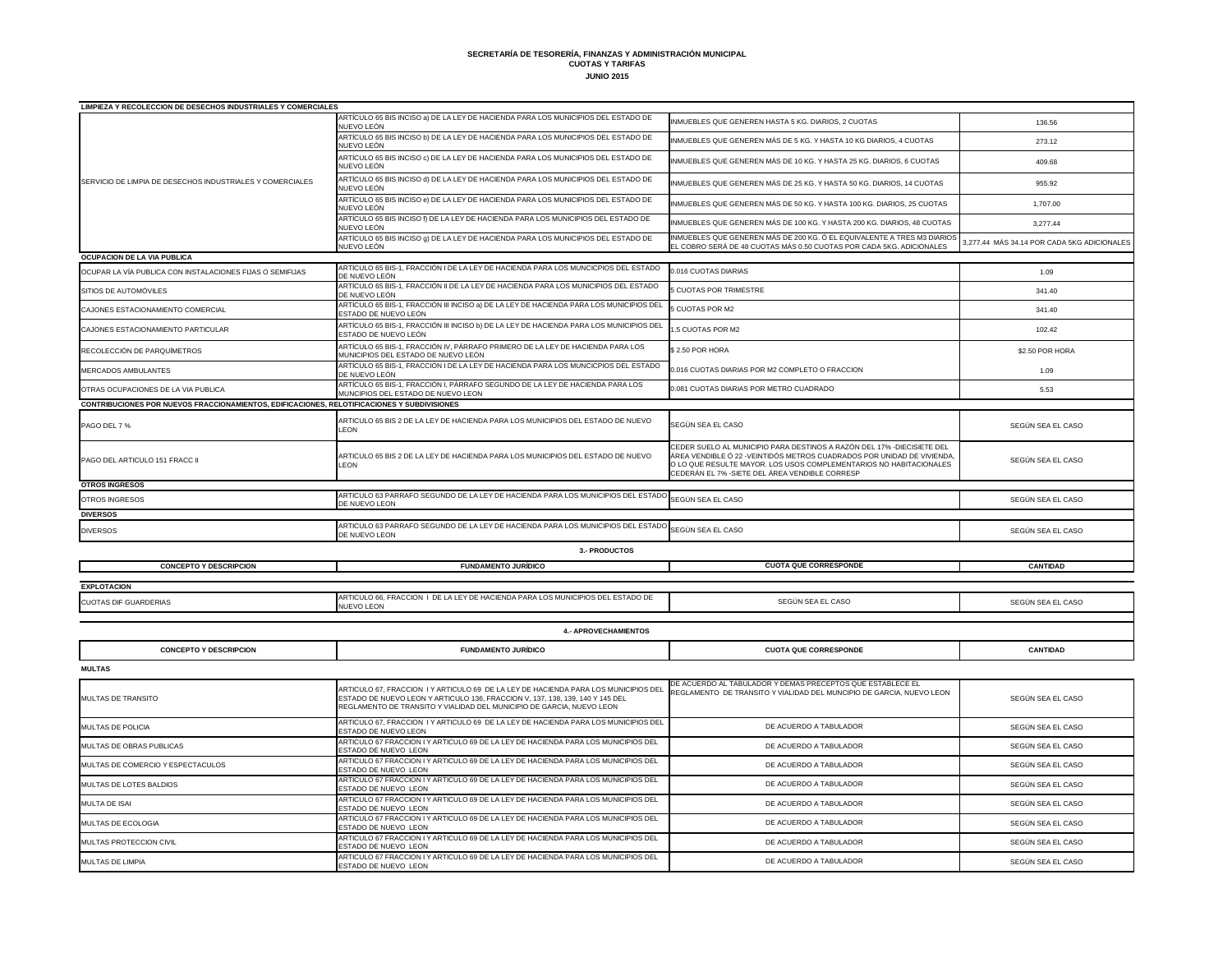**SECRETARÍA DE TESORERÍA, FINANZAS Y ADMINISTRACIÓN MUNICIPAL CUOTAS Y TARIFAS JUNIO 2015**

| <b>LIMPIEZA Y RECOLECCION DE DESECHOS INDUSTRIALES Y COMERCIALES</b>                        |                                                                                                                       |                                                                                                                                                                                                                                                                            |                                             |  |  |  |
|---------------------------------------------------------------------------------------------|-----------------------------------------------------------------------------------------------------------------------|----------------------------------------------------------------------------------------------------------------------------------------------------------------------------------------------------------------------------------------------------------------------------|---------------------------------------------|--|--|--|
|                                                                                             | ARTÍCULO 65 BIS INCISO a) DE LA LEY DE HACIENDA PARA LOS MUNICIPIOS DEL ESTADO DE                                     | INMUEBLES QUE GENEREN HASTA 5 KG. DIARIOS, 2 CUOTAS                                                                                                                                                                                                                        | 136.56                                      |  |  |  |
|                                                                                             | NUEVO LEÓN                                                                                                            |                                                                                                                                                                                                                                                                            |                                             |  |  |  |
|                                                                                             | ARTÍCULO 65 BIS INCISO b) DE LA LEY DE HACIENDA PARA LOS MUNICIPIOS DEL ESTADO DE<br>NUEVO LEÓN                       | INMUEBLES QUE GENEREN MÁS DE 5 KG. Y HASTA 10 KG DIARIOS, 4 CUOTAS                                                                                                                                                                                                         | 273.12                                      |  |  |  |
|                                                                                             | ARTÍCULO 65 BIS INCISO c) DE LA LEY DE HACIENDA PARA LOS MUNICIPIOS DEL ESTADO DE<br>NUEVO LEÓN                       | INMUEBLES QUE GENEREN MÁS DE 10 KG. Y HASTA 25 KG. DIARIOS, 6 CUOTAS                                                                                                                                                                                                       | 409.68                                      |  |  |  |
| SERVICIO DE LIMPIA DE DESECHOS INDUSTRIALES Y COMERCIALES                                   | ARTÍCULO 65 BIS INCISO d) DE LA LEY DE HACIENDA PARA LOS MUNICIPIOS DEL ESTADO DE<br>NUEVO LEÓN                       | INMUEBLES QUE GENEREN MÁS DE 25 KG. Y HASTA 50 KG. DIARIOS, 14 CUOTAS                                                                                                                                                                                                      | 955.92                                      |  |  |  |
|                                                                                             | ARTÍCULO 65 BIS INCISO e) DE LA LEY DE HACIENDA PARA LOS MUNICIPIOS DEL ESTADO DE<br>NUEVO LEÓN                       | INMUEBLES QUE GENEREN MÁS DE 50 KG. Y HASTA 100 KG. DIARIOS, 25 CUOTAS                                                                                                                                                                                                     | 1,707.00                                    |  |  |  |
|                                                                                             | ARTÍCULO 65 BIS INCISO f) DE LA LEY DE HACIENDA PARA LOS MUNICIPIOS DEL ESTADO DE<br>NUEVO LEÓN                       | INMUEBLES QUE GENEREN MÁS DE 100 KG. Y HASTA 200 KG. DIARIOS, 48 CUOTAS                                                                                                                                                                                                    | 3,277.44                                    |  |  |  |
|                                                                                             | ARTÍCULO 65 BIS INCISO g) DE LA LEY DE HACIENDA PARA LOS MUNICIPIOS DEL ESTADO DE<br>NUEVO LEÓN                       | INMUEBLES QUE GENEREN MÁS DE 200 KG. Ó EL EQUIVALENTE A TRES M3 DIARIOS<br>EL COBRO SERÁ DE 48 CUOTAS MÁS 0.50 CUOTAS POR CADA 5KG. ADICIONALES                                                                                                                            | 3,277.44 MÁS 34.14 POR CADA 5KG ADICIONALES |  |  |  |
| <b>OCUPACION DE LA VIA PUBLICA</b>                                                          |                                                                                                                       |                                                                                                                                                                                                                                                                            |                                             |  |  |  |
| OCUPAR LA VÍA PUBLICA CON INSTALACIONES FIJAS O SEMIFIJAS                                   | ARTÍCULO 65 BIS-1, FRACCIÓN I DE LA LEY DE HACIENDA PARA LOS MUNCICPIOS DEL ESTADO<br>DE NUEVO LEÓN                   | 0.016 CUOTAS DIARIAS                                                                                                                                                                                                                                                       | 1.09                                        |  |  |  |
| SITIOS DE AUTOMÓVILES                                                                       | ARTÍCULO 65 BIS-1, FRACCIÓN II DE LA LEY DE HACIENDA PARA LOS MUNICIPIOS DEL ESTADO<br>DE NUEVO LEÓN                  | 5 CUOTAS POR TRIMESTRE                                                                                                                                                                                                                                                     | 341.40                                      |  |  |  |
| CAJONES ESTACIONAMIENTO COMERCIAL                                                           | ARTÍCULO 65 BIS-1, FRACCIÓN III INCISO a) DE LA LEY DE HACIENDA PARA LOS MUNICIPIOS DEL<br>ESTADO DE NUEVO LEÓN       | 5 CUOTAS POR M2                                                                                                                                                                                                                                                            | 341.40                                      |  |  |  |
| CAJONES ESTACIONAMIENTO PARTICULAR                                                          | ARTÍCULO 65 BIS-1, FRACCIÓN III INCISO b) DE LA LEY DE HACIENDA PARA LOS MUNICIPIOS DEL<br>ESTADO DE NUEVO LEÓN       | 1.5 CUOTAS POR M2                                                                                                                                                                                                                                                          | 102.42                                      |  |  |  |
| RECOLECCIÓN DE PARQUÍMETROS                                                                 | ARTÍCULO 65 BIS-1, FRACCIÓN IV, PÁRRAFO PRIMERO DE LA LEY DE HACIENDA PARA LOS<br>MUNICIPIOS DEL ESTADO DE NUEVO LEÓN | \$2.50 POR HORA                                                                                                                                                                                                                                                            | \$2.50 POR HORA                             |  |  |  |
| <b>MERCADOS AMBULANTES</b>                                                                  | ARTÍCULO 65 BIS-1, FRACCIÓN I DE LA LEY DE HACIENDA PARA LOS MUNCICPIOS DEL ESTADO<br>DE NUEVO LEÓN                   | 0.016 CUOTAS DIARIAS POR M2 COMPLETO O FRACCION                                                                                                                                                                                                                            | 1.09                                        |  |  |  |
| OTRAS OCUPACIONES DE LA VIA PUBLICA                                                         | ARTÍCULO 65 BIS-1, FRACCIÓN I, PÁRRAFO SEGUNDO DE LA LEY DE HACIENDA PARA LOS<br>MUNCIPIOS DEL ESTADO DE NUEVO LEON   | 0.081 CUOTAS DIARIAS POR METRO CUADRADO                                                                                                                                                                                                                                    | 5.53                                        |  |  |  |
| CONTRIBUCIONES POR NUEVOS FRACCIONAMIENTOS, EDIFICACIONES, RELOTIFICACIONES Y SUBDIVISIONES |                                                                                                                       |                                                                                                                                                                                                                                                                            |                                             |  |  |  |
| PAGO DEL 7 %                                                                                | ARTICULO 65 BIS 2 DE LA LEY DE HACIENDA PARA LOS MUNICIPIOS DEL ESTADO DE NUEVO<br><b>LEON</b>                        | SEGÚN SEA EL CASO                                                                                                                                                                                                                                                          | SEGÚN SEA EL CASO                           |  |  |  |
| PAGO DEL ARTICULO 151 FRACC II                                                              | ARTICULO 65 BIS 2 DE LA LEY DE HACIENDA PARA LOS MUNICIPIOS DEL ESTADO DE NUEVO<br><b>LEON</b>                        | CEDER SUELO AL MUNICIPIO PARA DESTINOS A RAZÓN DEL 17% - DIECISIETE DEL<br>ÁREA VENDIBLE Ó 22 - VEINTIDÓS METROS CUADRADOS POR UNIDAD DE VIVIENDA<br>O LO QUE RESULTE MAYOR. LOS USOS COMPLEMENTARIOS NO HABITACIONALES<br>CEDERÁN EL 7% - SIETE DEL ÁREA VENDIBLE CORRESP | SEGÚN SEA EL CASO                           |  |  |  |
| <b>OTROS INGRESOS</b>                                                                       |                                                                                                                       |                                                                                                                                                                                                                                                                            |                                             |  |  |  |
| OTROS INGRESOS                                                                              | ARTICULO 63 PARRAFO SEGUNDO DE LA LEY DE HACIENDA PARA LOS MUNICIPIOS DEL ESTADO<br>DE NUEVO LEON                     | SEGÚN SEA EL CASO                                                                                                                                                                                                                                                          | SEGÚN SEA EL CASO                           |  |  |  |
| <b>DIVERSOS</b>                                                                             |                                                                                                                       |                                                                                                                                                                                                                                                                            |                                             |  |  |  |
| <b>DIVERSOS</b>                                                                             | ARTICULO 63 PARRAFO SEGUNDO DE LA LEY DE HACIENDA PARA LOS MUNICIPIOS DEL ESTADO<br>DE NUEVO LEON                     | SEGÚN SEA EL CASO                                                                                                                                                                                                                                                          | SEGÚN SEA EL CASO                           |  |  |  |
| <b>3.- PRODUCTOS</b>                                                                        |                                                                                                                       |                                                                                                                                                                                                                                                                            |                                             |  |  |  |
| <b>CONCEPTO Y DESCRIPCION</b>                                                               | <b>FUNDAMENTO JURÍDICO</b>                                                                                            | <b>CUOTA QUE CORRESPONDE</b>                                                                                                                                                                                                                                               | <b>CANTIDAD</b>                             |  |  |  |
|                                                                                             |                                                                                                                       |                                                                                                                                                                                                                                                                            |                                             |  |  |  |
| <b>EXPLOTACION</b>                                                                          | ARTICULO 66, FRACCION I DE LA LEY DE HACIENDA PARA LOS MUNICIPIOS DEL ESTADO DE                                       |                                                                                                                                                                                                                                                                            |                                             |  |  |  |
| <b>CUOTAS DIF GUARDERIAS</b>                                                                | <b>NUEVO LEON</b>                                                                                                     | SEGÚN SEA EL CASO                                                                                                                                                                                                                                                          | SEGÚN SEA EL CASO                           |  |  |  |
| <b>4.- APROVECHAMIENTOS</b>                                                                 |                                                                                                                       |                                                                                                                                                                                                                                                                            |                                             |  |  |  |
| <b>CONCEPTO Y DESCRIPCION</b>                                                               | <b>FUNDAMENTO JURÍDICO</b>                                                                                            | <b>CUOTA QUE CORRESPONDE</b>                                                                                                                                                                                                                                               | <b>CANTIDAD</b>                             |  |  |  |
|                                                                                             |                                                                                                                       |                                                                                                                                                                                                                                                                            |                                             |  |  |  |

| <b>MULTAS</b>                     |                                                                                                                                                                                                                                               |                                                                                                                                    |                   |  |  |
|-----------------------------------|-----------------------------------------------------------------------------------------------------------------------------------------------------------------------------------------------------------------------------------------------|------------------------------------------------------------------------------------------------------------------------------------|-------------------|--|--|
| <b>I</b> MULTAS DE TRANSITO       | ARTICULO 67, FRACCION I Y ARTICULO 69 DE LA LEY DE HACIENDA PARA LOS MUNICIPIOS DEI<br>ESTADO DE NUEVO LEON Y ARTICULO 136, FRACCION V, 137, 138, 139, 140 Y 145 DEL<br>REGLAMENTO DE TRANSITO Y VIALIDAD DEL MUNICIPIO DE GARCIA, NUEVO LEON | DE ACUERDO AL TABULADOR Y DEMAS PRECEPTOS QUE ESTABLECE EL<br>REGLAMENTO DE TRANSITO Y VIALIDAD DEL MUNCIPIO DE GARCIA, NUEVO LEON | SEGÚN SEA EL CASO |  |  |
| <b>MULTAS DE POLICIA</b>          | ARTICULO 67, FRACCION I Y ARTICULO 69 DE LA LEY DE HACIENDA PARA LOS MUNICIPIOS DEL<br><b>ESTADO DE NUEVO LEON</b>                                                                                                                            | DE ACUERDO A TABULADOR                                                                                                             | SEGÚN SEA EL CASO |  |  |
| <b>MULTAS DE OBRAS PUBLICAS</b>   | ARTICULO 67 FRACCION I Y ARTICULO 69 DE LA LEY DE HACIENDA PARA LOS MUNICIPIOS DEL<br><b>ESTADO DE NUEVO LEON</b>                                                                                                                             | DE ACUERDO A TABULADOR                                                                                                             | SEGÚN SEA EL CASO |  |  |
| MULTAS DE COMERCIO Y ESPECTACULOS | ARTICULO 67 FRACCION I Y ARTICULO 69 DE LA LEY DE HACIENDA PARA LOS MUNICIPIOS DEL<br><b>ESTADO DE NUEVO LEON</b>                                                                                                                             | DE ACUERDO A TABULADOR                                                                                                             | SEGÚN SEA EL CASO |  |  |
| <b>MULTAS DE LOTES BALDIOS</b>    | ARTICULO 67 FRACCION I Y ARTICULO 69 DE LA LEY DE HACIENDA PARA LOS MUNICIPIOS DEL<br><b>ESTADO DE NUEVO LEON</b>                                                                                                                             | DE ACUERDO A TABULADOR                                                                                                             | SEGÚN SEA EL CASO |  |  |
| <b>MULTA DE ISAI</b>              | ARTICULO 67 FRACCION I Y ARTICULO 69 DE LA LEY DE HACIENDA PARA LOS MUNICIPIOS DEL<br><b>ESTADO DE NUEVO LEON</b>                                                                                                                             | DE ACUERDO A TABULADOR                                                                                                             | SEGÚN SEA EL CASO |  |  |
| <b>MULTAS DE ECOLOGIA</b>         | ARTICULO 67 FRACCION I Y ARTICULO 69 DE LA LEY DE HACIENDA PARA LOS MUNICIPIOS DEL<br><b>ESTADO DE NUEVO LEON</b>                                                                                                                             | DE ACUERDO A TABULADOR                                                                                                             | SEGÚN SEA EL CASO |  |  |
| <b>MULTAS PROTECCION CIVIL</b>    | ARTICULO 67 FRACCION I Y ARTICULO 69 DE LA LEY DE HACIENDA PARA LOS MUNICIPIOS DEL<br><b>ESTADO DE NUEVO LEON</b>                                                                                                                             | DE ACUERDO A TABULADOR                                                                                                             | SEGÚN SEA EL CASO |  |  |
| <b>MULTAS DE LIMPIA</b>           | ARTICULO 67 FRACCION I Y ARTICULO 69 DE LA LEY DE HACIENDA PARA LOS MUNICIPIOS DEL<br><b>ESTADO DE NUEVO LEON</b>                                                                                                                             | DE ACUERDO A TABULADOR                                                                                                             | SEGÚN SEA EL CASO |  |  |